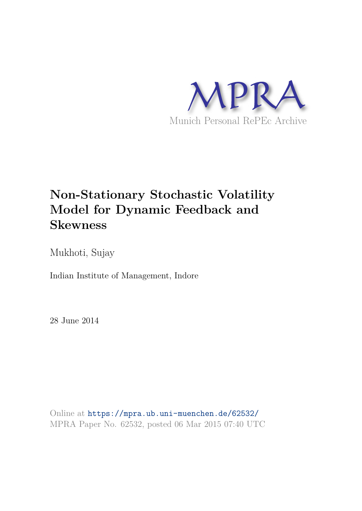

# **Non-Stationary Stochastic Volatility Model for Dynamic Feedback and Skewness**

Mukhoti, Sujay

Indian Institute of Management, Indore

28 June 2014

Online at https://mpra.ub.uni-muenchen.de/62532/ MPRA Paper No. 62532, posted 06 Mar 2015 07:40 UTC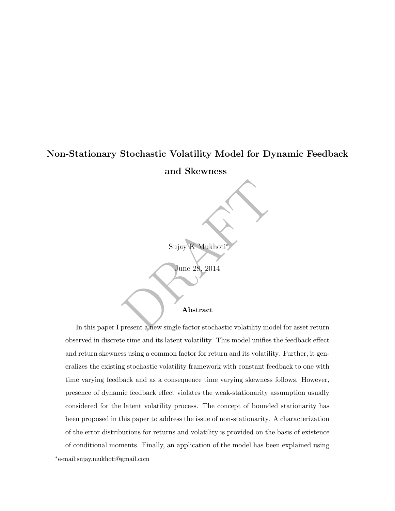# Non-Stationary Stochastic Volatility Model for Dynamic Feedback

and Skewness

Sujay K Mukhoti ∗

June 28, 2014

#### Abstract

Sujay K Mukhoti<br>June 28, 2014<br>Abstract<br>Present a new single factor stochastic volatility model for In this paper I present a new single factor stochastic volatility model for asset return observed in discrete time and its latent volatility. This model unifies the feedback effect and return skewness using a common factor for return and its volatility. Further, it generalizes the existing stochastic volatility framework with constant feedback to one with time varying feedback and as a consequence time varying skewness follows. However, presence of dynamic feedback effect violates the weak-stationarity assumption usually considered for the latent volatility process. The concept of bounded stationarity has been proposed in this paper to address the issue of non-stationarity. A characterization of the error distributions for returns and volatility is provided on the basis of existence of conditional moments. Finally, an application of the model has been explained using

<sup>∗</sup> e-mail:sujay.mukhoti@gmail.com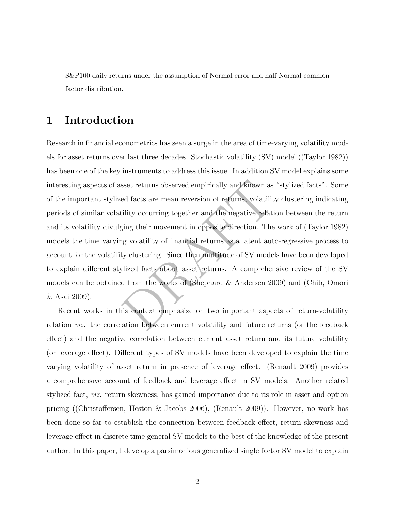S&P100 daily returns under the assumption of Normal error and half Normal common factor distribution.

## 1 Introduction

sset returns observed empirically and known as "styted facts are mean reversion of returns, volatility clility occurring together and the negative relation ring their movement in opposite direction. The word we discuss the Research in financial econometrics has seen a surge in the area of time-varying volatility models for asset returns over last three decades. Stochastic volatility (SV) model ((Taylor 1982)) has been one of the key instruments to address this issue. In addition SV model explains some interesting aspects of asset returns observed empirically and known as "stylized facts". Some of the important stylized facts are mean reversion of returns, volatility clustering indicating periods of similar volatility occurring together and the negative relation between the return and its volatility divulging their movement in opposite direction. The work of (Taylor 1982) models the time varying volatility of financial returns as a latent auto-regressive process to account for the volatility clustering. Since then multitude of SV models have been developed to explain different stylized facts about asset returns. A comprehensive review of the SV models can be obtained from the works of (Shephard & Andersen 2009) and (Chib, Omori & Asai 2009).

Recent works in this context emphasize on two important aspects of return-volatility relation viz. the correlation between current volatility and future returns (or the feedback effect) and the negative correlation between current asset return and its future volatility (or leverage effect). Different types of SV models have been developed to explain the time varying volatility of asset return in presence of leverage effect. (Renault 2009) provides a comprehensive account of feedback and leverage effect in SV models. Another related stylized fact, viz. return skewness, has gained importance due to its role in asset and option pricing ((Christoffersen, Heston & Jacobs 2006), (Renault 2009)). However, no work has been done so far to establish the connection between feedback effect, return skewness and leverage effect in discrete time general SV models to the best of the knowledge of the present author. In this paper, I develop a parsimonious generalized single factor SV model to explain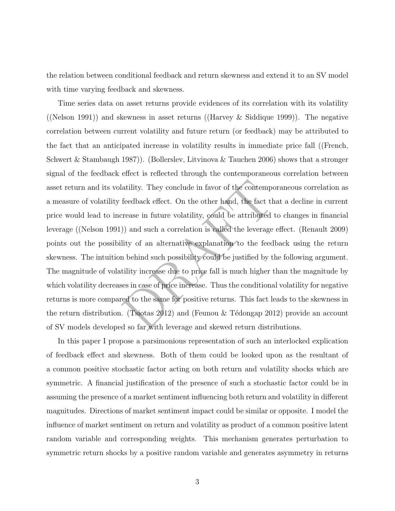the relation between conditional feedback and return skewness and extend it to an SV model with time varying feedback and skewness.

atility. They conclude in favor of the contemporant<br>feedback effect. On the other hand, the fact that a<br>rease in future volatility, could be attributed to c<br>)) and such a correlation is called the leverage effect<br>lity of Time series data on asset returns provide evidences of its correlation with its volatility ((Nelson 1991)) and skewness in asset returns ((Harvey & Siddique 1999)). The negative correlation between current volatility and future return (or feedback) may be attributed to the fact that an anticipated increase in volatility results in immediate price fall ((French, Schwert & Stambaugh 1987)). (Bollerslev, Litvinova & Tauchen 2006) shows that a stronger signal of the feedback effect is reflected through the contemporaneous correlation between asset return and its volatility. They conclude in favor of the contemporaneous correlation as a measure of volatility feedback effect. On the other hand, the fact that a decline in current price would lead to increase in future volatility, could be attributed to changes in financial leverage ((Nelson 1991)) and such a correlation is called the leverage effect. (Renault 2009) points out the possibility of an alternative explanation to the feedback using the return skewness. The intuition behind such possibility could be justified by the following argument. The magnitude of volatility increase due to price fall is much higher than the magnitude by which volatility decreases in case of price increase. Thus the conditional volatility for negative returns is more compared to the same for positive returns. This fact leads to the skewness in the return distribution. (Tsiotas 2012) and (Feunou & Tédongap 2012) provide an account of SV models developed so far with leverage and skewed return distributions.

In this paper I propose a parsimonious representation of such an interlocked explication of feedback effect and skewness. Both of them could be looked upon as the resultant of a common positive stochastic factor acting on both return and volatility shocks which are symmetric. A financial justification of the presence of such a stochastic factor could be in assuming the presence of a market sentiment influencing both return and volatility in different magnitudes. Directions of market sentiment impact could be similar or opposite. I model the influence of market sentiment on return and volatility as product of a common positive latent random variable and corresponding weights. This mechanism generates perturbation to symmetric return shocks by a positive random variable and generates asymmetry in returns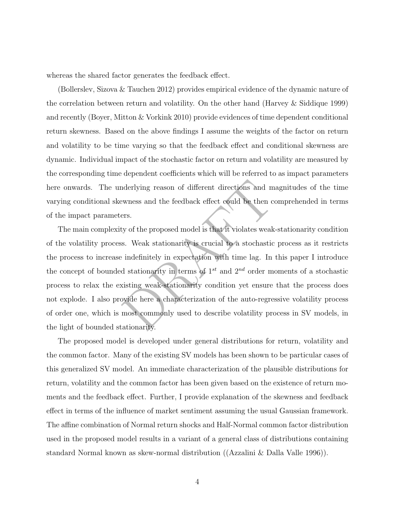whereas the shared factor generates the feedback effect.

(Bollerslev, Sizova & Tauchen 2012) provides empirical evidence of the dynamic nature of the correlation between return and volatility. On the other hand (Harvey & Siddique 1999) and recently (Boyer, Mitton & Vorkink 2010) provide evidences of time dependent conditional return skewness. Based on the above findings I assume the weights of the factor on return and volatility to be time varying so that the feedback effect and conditional skewness are dynamic. Individual impact of the stochastic factor on return and volatility are measured by the corresponding time dependent coefficients which will be referred to as impact parameters here onwards. The underlying reason of different directions and magnitudes of the time varying conditional skewness and the feedback effect could be then comprehended in terms of the impact parameters.

nderlying reason of different directions and magnewness and the feedback effect could be then compares.<br>
Express and the feedback effect could be then compares.<br>
Express ty of the proposed model is that it violates weak-s The main complexity of the proposed model is that it violates weak-stationarity condition of the volatility process. Weak stationarity is crucial to a stochastic process as it restricts the process to increase indefinitely in expectation with time lag. In this paper I introduce the concept of bounded stationarity in terms of  $1^{st}$  and  $2^{nd}$  order moments of a stochastic process to relax the existing weak-stationarity condition yet ensure that the process does not explode. I also provide here a characterization of the auto-regressive volatility process of order one, which is most commonly used to describe volatility process in SV models, in the light of bounded stationarity.

The proposed model is developed under general distributions for return, volatility and the common factor. Many of the existing SV models has been shown to be particular cases of this generalized SV model. An immediate characterization of the plausible distributions for return, volatility and the common factor has been given based on the existence of return moments and the feedback effect. Further, I provide explanation of the skewness and feedback effect in terms of the influence of market sentiment assuming the usual Gaussian framework. The affine combination of Normal return shocks and Half-Normal common factor distribution used in the proposed model results in a variant of a general class of distributions containing standard Normal known as skew-normal distribution ((Azzalini & Dalla Valle 1996)).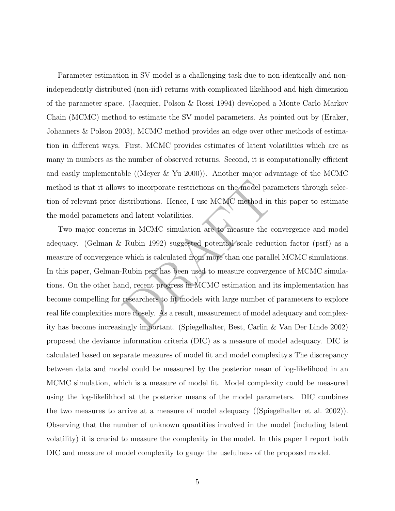Parameter estimation in SV model is a challenging task due to non-identically and nonindependently distributed (non-iid) returns with complicated likelihood and high dimension of the parameter space. (Jacquier, Polson & Rossi 1994) developed a Monte Carlo Markov Chain (MCMC) method to estimate the SV model parameters. As pointed out by (Eraker, Johanners & Polson 2003), MCMC method provides an edge over other methods of estimation in different ways. First, MCMC provides estimates of latent volatilities which are as many in numbers as the number of observed returns. Second, it is computationally efficient and easily implementable ((Meyer & Yu 2000)). Another major advantage of the MCMC method is that it allows to incorporate restrictions on the model parameters through selection of relevant prior distributions. Hence, I use MCMC method in this paper to estimate the model parameters and latent volatilities.

istributions. Hence, I use MCMC method in this<br>listributions. Hence, I use MCMC method in this<br>and latent volatilities.<br><br>as in MCMC simulation are to measure the convergence<br>Rubin 1992) suggested potential scale reduction<br> Two major concerns in MCMC simulation are to measure the convergence and model adequacy. (Gelman & Rubin 1992) suggested potential scale reduction factor (psrf) as a measure of convergence which is calculated from more than one parallel MCMC simulations. In this paper, Gelman-Rubin psrf has been used to measure convergence of MCMC simulations. On the other hand, recent progress in MCMC estimation and its implementation has become compelling for researchers to fit models with large number of parameters to explore real life complexities more closely. As a result, measurement of model adequacy and complexity has become increasingly important. (Spiegelhalter, Best, Carlin & Van Der Linde 2002) proposed the deviance information criteria (DIC) as a measure of model adequacy. DIC is calculated based on separate measures of model fit and model complexity.s The discrepancy between data and model could be measured by the posterior mean of log-likelihood in an MCMC simulation, which is a measure of model fit. Model complexity could be measured using the log-likelihhod at the posterior means of the model parameters. DIC combines the two measures to arrive at a measure of model adequacy ((Spiegelhalter et al. 2002)). Observing that the number of unknown quantities involved in the model (including latent volatility) it is crucial to measure the complexity in the model. In this paper I report both DIC and measure of model complexity to gauge the usefulness of the proposed model.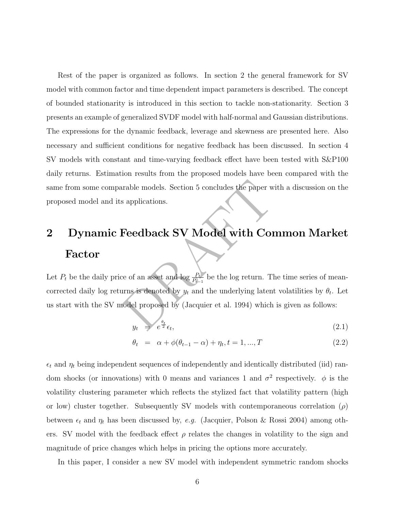Rest of the paper is organized as follows. In section 2 the general framework for S V model with common factor and time dependent impact parameters is described. The concept of bounded stationarity is introduced in this section to tackle non-stationarity. Section 3 presents an example of generalized SVDF model with half-normal and Gaussian distributions. The expressions for the dynamic feedback, leverage and skewness are presented here. Also necessary and sufficient conditions for negative feedback has been discussed. In section 4 SV models with constant and time-varying feedback effect have been tested with S&P10 0 daily returns. Estimation results from the proposed models have been compared with the same from some comparable models. Section 5 concludes the paper with a discussion on the proposed model and its applications.

# 2 Dynamic Feedback SV Model with Common Market Factor

paper with<br>
s applications.<br> **Feedback SV Model with Comretion**<br>
ce of an asset and  $\log \frac{P_t}{P_{t-1}}$  be the log return. The t<br>
rms is denoted by  $y_t$  and the underlying latent vo<br>
nodel proposed by (Jacquier et al. 1994) Let  $P_t$  be the daily price of an asset and  $\log \frac{P_t}{P_t}$  $\frac{P_t}{P_{t-1}}$  be the log return. The time series of meancorrected daily log returns is denoted by  $y_t$  and the underlying latent volatilities by  $\theta_t$ . Let us start with the SV model proposed by (Jacquier et al. 1994) which is given as follows:

$$
y_t = e^{\frac{\theta_t}{2}} \epsilon_t, \tag{2.1}
$$

$$
\theta_t = \alpha + \phi(\theta_{t-1} - \alpha) + \eta_t, t = 1, ..., T
$$
\n(2.2)

 $\epsilon_t$  and  $\eta_t$  being independent sequences of independently and identically distributed (iid) random shocks (or innovations) with 0 means and variances 1 and  $\sigma^2$  respectively.  $\phi$  is the volatility clustering parameter which reflects the stylized fact that volatility pattern (high or low) cluster together. Subsequently SV models with contemporaneous correlation  $(\rho)$ between  $\epsilon_t$  and  $\eta_t$  has been discussed by, e.g. (Jacquier, Polson & Rossi 2004) among others. SV model with the feedback effect  $\rho$  relates the changes in volatility to the sign and magnitude of price changes which helps in pricing the options more accurately.

In this paper, I consider a new SV model with independent symmetric random shocks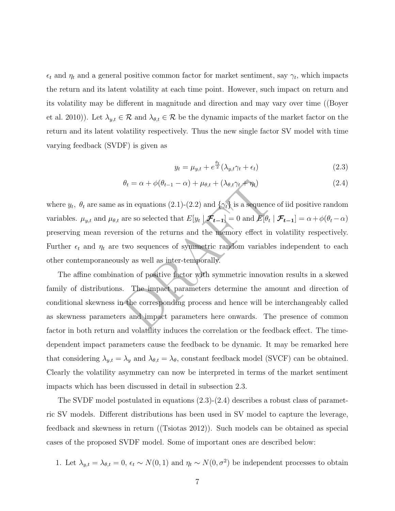$\epsilon_t$  and  $\eta_t$  and a general positive common factor for market sentiment, say  $\gamma_t$ , which impacts the return and its latent volatility at each time point. However, such impact on return and its volatility may be different in magnitude and direction and may vary over time ((Boyer et al. 2010)). Let  $\lambda_{y,t} \in \mathcal{R}$  and  $\lambda_{\theta,t} \in \mathcal{R}$  be the dynamic impacts of the market factor on the return and its latent volatility respectively. Thus the new single factor SV model with time varying feedback (SVDF) is given as

$$
y_t = \mu_{y,t} + e^{\frac{\theta_t}{2}} (\lambda_{y,t} \gamma_t + \epsilon_t)
$$
\n(2.3)

$$
\theta_t = \alpha + \phi(\theta_{t-1} - \alpha) + \mu_{\theta, t} + (\lambda_{\theta, t} \gamma_t + \eta_t)
$$
\n(2.4)

 $\theta_t = \alpha + \phi(\theta_{t-1} - \alpha) + \mu_{\theta,t} + (\lambda_{\theta,t}\gamma_t + \eta_t)$ <br>
s in equations (2.1)-(2.2) and  $\{\gamma_t\}$  is a sequence of i<br>
are so selected that  $E[y_t | \mathcal{F}_{t-1}] = 0$  and  $E[\theta_t | \mathcal{F}_t]$ <br>
sion of the returns and the memory effect in volu-<br> where  $y_t$ ,  $\theta_t$  are same as in equations (2.1)-(2.2) and  $\{\gamma_t\}$  is a sequence of iid positive random variables.  $\mu_{y,t}$  and  $\mu_{\theta,t}$  are so selected that  $E[y_t | \mathcal{F}_{t-1}] = 0$  and  $E[\theta_t | \mathcal{F}_{t-1}] = \alpha + \phi(\theta_t - \alpha)$ preserving mean reversion of the returns and the memory effect in volatility respectively. Further  $\epsilon_t$  and  $\eta_t$  are two sequences of symmetric random variables independent to each other contemporaneously as well as inter-temporally.

The affine combination of positive factor with symmetric innovation results in a skewed family of distributions. The impact parameters determine the amount and direction of conditional skewness in the corresponding process and hence will be interchangeably called as skewness parameters and impact parameters here onwards. The presence of commo n factor in both return and volatility induces the correlation or the feedback effect. The timedependent impact parameters cause the feedback to be dynamic. It may be remarked here that considering  $\lambda_{y,t} = \lambda_y$  and  $\lambda_{\theta,t} = \lambda_{\theta}$ , constant feedback model (SVCF) can be obtained. Clearly the volatility asymmetry can now be interpreted in terms of the market sentiment impacts which has been discussed in detail in subsection 2.3.

The SVDF model postulated in equations (2.3)-(2.4) describes a robust class of parametric SV models. Different distributions has been used in SV model to capture the leverage, feedback and skewness in return ((Tsiotas 2012)). Such models can be obtained as special cases of the proposed SVDF model. Some of important ones are described below:

1. Let  $\lambda_{y,t} = \lambda_{\theta,t} = 0$ ,  $\epsilon_t \sim N(0, 1)$  and  $\eta_t \sim N(0, \sigma^2)$  be independent processes to obtain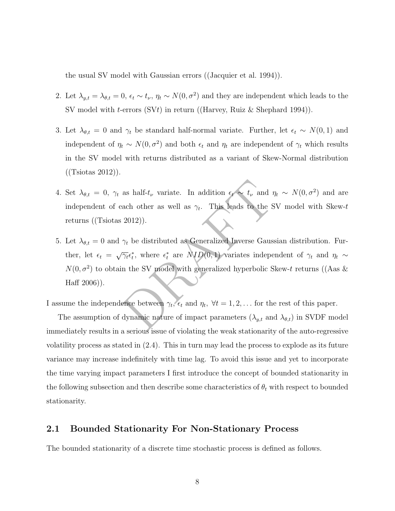the usual SV model with Gaussian errors ((Jacquier et al. 1994)).

- 2. Let  $\lambda_{y,t} = \lambda_{\theta,t} = 0$ ,  $\epsilon_t \sim t_{\nu}$ ,  $\eta_t \sim N(0, \sigma^2)$  and they are independent which leads to the SV model with *t*-errors (SV*t*) in return ((Harvey, Ruiz & Shephard 1994)).
- 3. Let  $\lambda_{\theta,t} = 0$  and  $\gamma_t$  be standard half-normal variate. Further, let  $\epsilon_t \sim N(0,1)$  and independent of  $\eta_t \sim N(0, \sigma^2)$  and both  $\epsilon_t$  and  $\eta_t$  are independent of  $\gamma_t$  which results in the SV model with returns distributed as a variant of Skew-Normal distribution ((Tsiotas 2012)).
- 4. Set  $\lambda_{\theta,t} = 0$ ,  $\gamma_t$  as half- $t_\nu$  variate. In addition  $\epsilon_t \sim t_\nu$  and  $\eta_t \sim N(0, \sigma^2)$  and are independent of each other as well as  $\gamma_t$ . This leads to the SV model with Skew-t returns ((Tsiotas 2012)).
- as half- $t_{\nu}$  variate. In addition  $\epsilon_{\nu} \sim t_{\nu}$  and  $\eta_t \sim$ <br>ach other as well as  $\gamma_t$ . This leads to the SV 1<br>2012)).<br> $\gamma_t$  be distributed as Generalized Inverse Gaussian<br> $\overline{\gamma_t} \epsilon_t^*$ , where  $\epsilon_t^*$  are  $NLD(0,1)$  5. Let  $\lambda_{\theta,t} = 0$  and  $\gamma_t$  be distributed as Generalized Inverse Gaussian distribution. Further, let  $\epsilon_t = \sqrt{\gamma_t} \epsilon_t^*$ , where  $\epsilon_t^*$  are  $ND(0,1)$  variates independent of  $\gamma_t$  and  $\eta_t \sim$  $N(0, \sigma^2)$  to obtain the SV model with generalized hyperbolic Skew-t returns ((Aas & Haff 2006)).

I assume the independence between  $\gamma_t$ ,  $\epsilon_t$  and  $\eta_t$ ,  $\forall t = 1, 2, \ldots$  for the rest of this paper.

The assumption of dynamic nature of impact parameters  $(\lambda_{y,t}$  and  $\lambda_{\theta,t})$  in SVDF model immediately results in a serious issue of violating the weak stationarity of the auto-regressive volatility process as stated in (2.4). This in turn may lead the process to explode as its future variance may increase indefinitely with time lag. To avoid this issue and yet to incorporate the time varying impact parameters I first introduce the concept of bounded stationarity in the following subsection and then describe some characteristics of  $\theta_t$  with respect to bounded stationarity.

#### 2.1 Bounded Stationarity For Non-Stationary Process

The bounded stationarity of a discrete time stochastic process is defined as follows.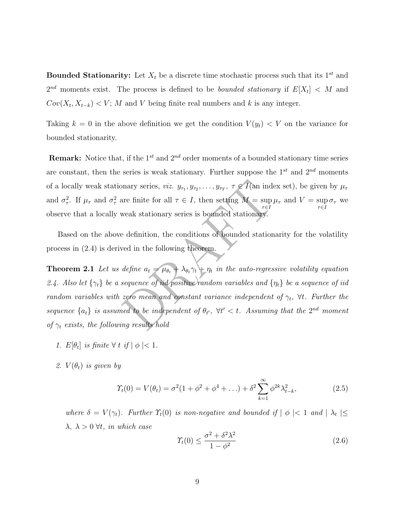**Bounded Stationarity:** Let  $X_t$  be a discrete time stochastic process such that its  $1^{st}$  and  $2^{nd}$  moments exist. The process is defined to be *bounded stationary* if  $E[X_t] < M$  and  $Cov(X_t, X_{t-k}) < V$ ; M and V being finite real numbers and k is any integer.

Taking  $k = 0$  in the above definition we get the condition  $V(y_t) < V$  on the variance for bounded stationarity.

**Remark:** Notice that, if the  $1^{st}$  and  $2^{nd}$  order moments of a bounded stationary time series are constant, then the series is weak stationary. Further suppose the  $1^{st}$  and  $2^{nd}$  moments of a locally weak stationary series, *viz.*  $y_{\tau_1}, y_{\tau_2}, \ldots, y_{\tau_T}, \tau \in I$  (an index set), be given by  $\mu_{\tau}$ and  $\sigma_{\tau}^2$ . If  $\mu_{\tau}$  and  $\sigma_{\tau}^2$  are finite for all  $\tau \in I$ , then setting  $M = \sup_{\tau \in I} I$  $\tau{\in}I$  $\mu_{\tau}$  and  $V = \sup$  $\tau \in I$  $\sigma_{\tau}$  we observe that a locally weak stationary series is bounded stationary.

Based on the above definition, the conditions of bounded stationarity for the volatility process in (2.4) is derived in the following theorem.

onary series,  $viz.$   $y_{\tau_1}, y_{\tau_2},..., y_{\tau_T}, \tau \in I$  (an index s<br>
are finite for all  $\tau \in I$ , then setting  $M = \sup_{\tau \in I} \mu_{\tau}$  a<br>
weak stationary series is bounded stationary.<br>
<br>
a definition, the conditions of bounded station **Theorem 2.1** Let us define  $a_t = \mu_{\theta_t} + \lambda_{\theta_t} \gamma_t + \eta_t$  in the auto-regressive volatility equation 2.4. Also let  $\{\gamma_t\}$  be a sequence of iid positive random variables and  $\{\eta_t\}$  be a sequence of iid random variables with zero mean and constant variance independent of  $\gamma_t$ ,  $\forall t$ . Further the sequence  $\{a_t\}$  is assumed to be independent of  $\theta_{t'}$ ,  $\forall t' < t$ . Assuming that the  $2^{nd}$  moment of  $\gamma_t$  exists, the following results hold

- 1.  $E[\theta_t]$  is finite  $\forall$  t if  $|\phi| < 1$ .
- 2.  $V(\theta_t)$  is given by

$$
\Upsilon_t(0) = V(\theta_t) = \sigma^2 (1 + \phi^2 + \phi^4 + \ldots) + \delta^2 \sum_{k=1}^{\infty} \phi^{2k} \lambda_{t-k}^2, \tag{2.5}
$$

where  $\delta = V(\gamma_t)$ . Further  $\Upsilon_t(0)$  is non-negative and bounded if  $|\phi| < 1$  and  $|\lambda_t| \le$  $\lambda, \lambda > 0 \,\forall t, \text{ in which case}$ 

$$
\Upsilon_t(0) \le \frac{\sigma^2 + \delta^2 \lambda^2}{1 - \phi^2} \tag{2.6}
$$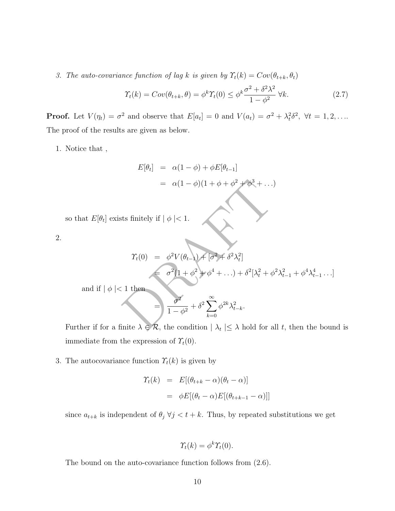3. The auto-covariance function of lag k is given by  $\Upsilon_t(k) = Cov(\theta_{t+k}, \theta_t)$ 

$$
\Upsilon_t(k) = Cov(\theta_{t+k}, \theta) = \phi^k \Upsilon_t(0) \le \phi^k \frac{\sigma^2 + \delta^2 \lambda^2}{1 - \phi^2} \,\forall k. \tag{2.7}
$$

**Proof.** Let  $V(\eta_t) = \sigma^2$  and observe that  $E[a_t] = 0$  and  $V(a_t) = \sigma^2 + \lambda_t^2 \delta^2$ ,  $\forall t = 1, 2, \ldots$ The proof of the results are given as below.

1. Notice that ,

$$
E[\theta_t] = \alpha(1 - \phi) + \phi E[\theta_{t-1}]
$$
  
=  $\alpha(1 - \phi)(1 + \phi + \phi^2 + \phi^3 + \ldots)$ 

so that  $E[\theta_t]$  exists finitely if  $|\phi| < 1$ .

2.

$$
= \alpha(1-\phi)(1+\phi+\phi^2+\phi^3+\ldots)
$$
  
its finitely if  $|\phi| < 1$ .  

$$
\gamma_t(0) = \phi^2 V(\theta_{t-1}) + [\sigma^2 + \delta^2 \lambda_t^2]
$$

$$
= \sigma^2 (1+\phi^2+\phi^4+\ldots) + \delta^2 [\lambda_t^2 + \phi^2 \lambda_{t-1}^2 + \phi^4 \lambda_{t-1}^4 \ldots]
$$
  
1 then  

$$
= \frac{\sigma^2}{1-\phi^2} + \delta^2 \sum_{k=0}^{\infty} \phi^{2k} \lambda_{t-k}^2.
$$
  
finite  $\lambda \in \mathcal{R}$ , the condition  $|\lambda_t| \leq \lambda$  hold for all  $t$ , then the bouv

and if  $| \phi |$  < 1 then

$$
= \frac{\sigma^2}{1-\phi^2} + \delta^2 \sum_{k=0}^{\infty} \phi^{2k} \lambda_{t-k}^2.
$$

Further if for a finite  $\lambda \in \mathcal{R}$ , the condition  $|\lambda_t| \leq \lambda$  hold for all t, then the bound is immediate from the expression of  $\Upsilon_t(0)$ .

3. The autocovariance function  $\mathcal{T}_t(k)$  is given by

$$
\begin{aligned} \Upsilon_t(k) &= E[(\theta_{t+k} - \alpha)(\theta_t - \alpha)] \\ &= \phi E[(\theta_t - \alpha)E[(\theta_{t+k-1} - \alpha)]] \end{aligned}
$$

since  $a_{t+k}$  is independent of  $\theta_j \ \forall j \leq t+k$ . Thus, by repeated substitutions we get

$$
\Upsilon_t(k) = \phi^k \Upsilon_t(0).
$$

The bound on the auto-covariance function follows from (2.6).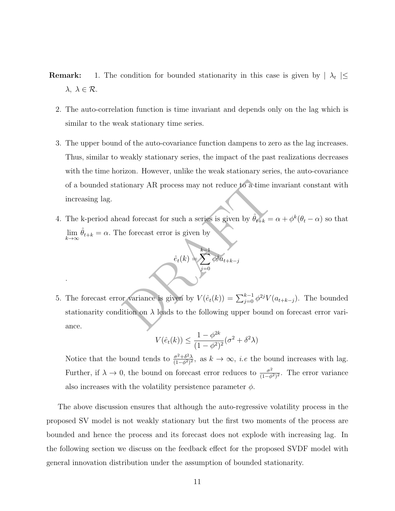- **Remark:** 1. The condition for bounded stationarity in this case is given by  $| \lambda_t | \le$  $\lambda, \lambda \in \mathcal{R}$ .
	- 2. The auto-correlation function is time invariant and depends only on the lag which is similar to the weak stationary time series.
	- 3. The upper bound of the auto-covariance function dampens to zero as the lag increases. Thus, similar to weakly stationary series, the impact of the past realizations decreases with the time horizon. However, unlike the weak stationary series, the auto-covariance of a bounded stationary AR process may not reduce to a time invariant constant with increasing lag.
	- 4. The k-period ahead forecast for such a series is given by  $\hat{\theta}_{t+k} = \alpha + \phi^k(\theta_t \alpha)$  so that  $\lim_{k \to \infty} \hat{\theta}_{t+k} = \alpha$ . The forecast error is given by



.

tionary AR process may not reduce to a time invariand forecast for such a series is given by  $\hat{\theta}_{t+k} = \alpha +$ <br>
he forecast error is given by  $\hat{e}_t(k) = \sum_{j=0}^{k-1} \phi^j a_{t+k-j}$ <br>
or variance is given by  $V(\hat{e}_t(k)) = \sum_{j=0}^{k-1}$ 5. The forecast error variance is given by  $V(\hat{e}_t(k)) = \sum_{i=0}^{k-1}$  $_{j=0}^{k-1} \phi^{2j} V(a_{t+k-j}).$  The bounded stationarity condition on  $\lambda$  leads to the following upper bound on forecast error variance.

$$
V(\hat{e}_t(k)) \le \frac{1 - \phi^{2k}}{(1 - \phi^2)^2} (\sigma^2 + \delta^2 \lambda)
$$

Notice that the bound tends to  $\frac{\sigma^2 + \delta^2 \lambda}{(1 - \delta^2)^2}$  $\frac{\sigma^2 + \delta^2 \lambda}{(1 - \phi^2)^2}$ , as  $k \to \infty$ , *i.e* the bound increases with lag. Further, if  $\lambda \to 0$ , the bound on forecast error reduces to  $\frac{\sigma^2}{(1-\phi)}$  $\frac{\sigma^2}{(1-\phi^2)^2}$ . The error variance also increases with the volatility persistence parameter  $\phi$ .

The above discussion ensures that although the auto-regressive volatility process in the proposed SV model is not weakly stationary but the first two moments of the process are bounded and hence the process and its forecast does not explode with increasing lag. In the following section we discuss on the feedback effect for the proposed SVDF model wit h general innovation distribution under the assumption of bounded stationarity.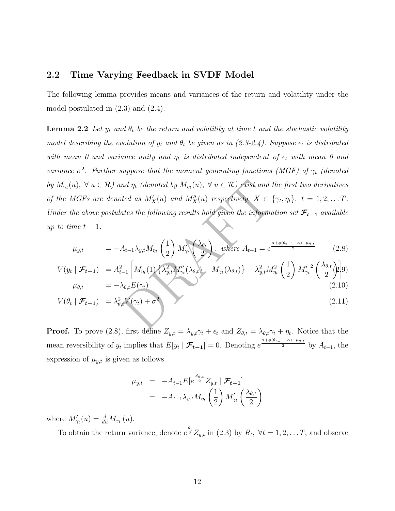#### 2.2 Time Varying Feedback in SVDF Model

The following lemma provides means and variances of the return and volatility under the model postulated in (2.3) and (2.4).

nd  $\eta_t$  (denoted by  $M_{\eta_t}(u)$ ,  $\forall u \in \mathcal{R}$ ) exist and the f<br>
ted as  $M'_X(u)$  and  $M''_X(u)$  respectively,  $X \in \{\gamma_t, t\}$ <br>
ates the following results hold given the information<br>  $A_{t-1}\lambda_{y,t}M_{\eta_t}\left(\frac{1}{2}\right)M'_{\gamma_t}\left(\frac{\lambda_{\theta_t$ **Lemma 2.2** Let  $y_t$  and  $\theta_t$  be the return and volatility at time t and the stochastic volatility model describing the evolution of  $y_t$  and  $\theta_t$  be given as in (2.3-2.4). Suppose  $\epsilon_t$  is distributed with mean 0 and variance unity and  $\eta_t$  is distributed independent of  $\epsilon_t$  with mean 0 and variance  $\sigma^2$ . Further suppose that the moment generating functions (MGF) of  $\gamma_t$  (denoted by  $M_{\gamma_t}(u)$ ,  $\forall u \in \mathcal{R}$ ) and  $\eta_t$  (denoted by  $M_{\eta_t}(u)$ ,  $\forall u \in \mathcal{R}$ ) exist and the first two derivatives of the MGFs are denoted as  $M'_X(u)$  and  $M''_X(u)$  respectively,  $X \in \{\gamma_t, \eta_t\}, t = 1, 2, \dots T$ . Under the above postulates the following results hold given the information set  $\mathcal{F}_{t-1}$  available up to time  $t-1$ :

$$
\mu_{y,t} = -A_{t-1}\lambda_{y,t}M_{\eta_t}\left(\frac{1}{2}\right)M'_{\gamma_t}\left(\frac{\lambda_{\theta_t}}{2}\right), \text{ where } A_{t-1} = e^{\frac{\alpha + \phi(\theta_{t-1} - \alpha) + \mu_{\theta,t}}{2}} \tag{2.8}
$$

$$
V(y_t \mid \mathcal{F}_{t-1}) = A_{t-1}^2 \left[ M_{\eta_t}(1) \left\{ \lambda_{y,t}^2 M_{\gamma_t}''(\lambda_{\theta,t}) + M_{\gamma_t}(\lambda_{\theta,t}) \right\} - \lambda_{y,t}^2 M_{\eta_t}^2 \left( \frac{1}{2} \right) M_{\gamma_t}'^2 \left( \frac{\lambda_{\theta,t}}{2} \right) \right] 9)
$$
  
\n
$$
\mu_{\theta,t} = -\lambda_{\theta,t} E(\gamma_t)
$$
\n(2.10)

$$
V(\theta_t \mid \mathcal{F}_{t-1}) = \lambda_{\theta,t}^2 V(\gamma_t) + \sigma^2 \tag{2.11}
$$

**Proof.** To prove (2.8), first define  $Z_{y,t} = \lambda_{y,t} \gamma_t + \epsilon_t$  and  $Z_{\theta,t} = \lambda_{\theta,t} \gamma_t + \eta_t$ . Notice that the mean reversibility of  $y_t$  implies that  $E[y_t | \mathcal{F}_{t-1}] = 0$ . Denoting  $e^{\frac{\alpha + \phi(\theta_{t-1} - \alpha) + \mu_{\theta,t}}{2}}$  by  $A_{t-1}$ , the expression of  $\mu_{y,t}$  is given as follows

$$
\mu_{y,t} = -A_{t-1} E \left[e^{\frac{Z_{\theta,t}}{2}} Z_{y,t} \mid \mathcal{F}_{t-1}\right]
$$
  
= 
$$
-A_{t-1} \lambda_{y,t} M_{\eta_t} \left(\frac{1}{2}\right) M'_{\gamma_t} \left(\frac{\lambda_{\theta,t}}{2}\right)
$$

where  $M'_{\gamma_t}(u) = \frac{d}{du}$  $\frac{d}{du}M_{\gamma_t}(u)$ .

To obtain the return variance, denote  $e^{\frac{\theta_t}{2}}Z_{y,t}$  in (2.3) by  $R_t$ ,  $\forall t = 1, 2, \ldots T$ , and observe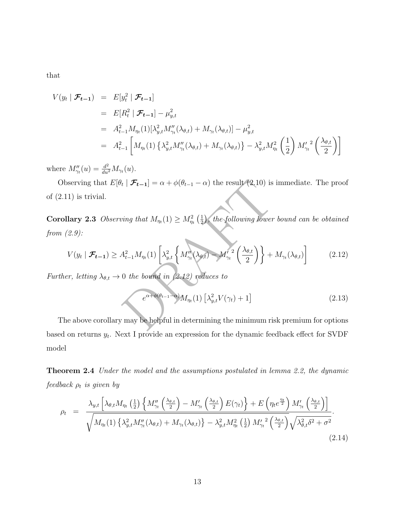that

$$
V(y_t | \mathcal{F}_{t-1}) = E[y_t^2 | \mathcal{F}_{t-1}]
$$
  
\n
$$
= E[R_t^2 | \mathcal{F}_{t-1}] - \mu_{y,t}^2
$$
  
\n
$$
= A_{t-1}^2 M_{\eta_t}(1) [\lambda_{y,t}^2 M_{\gamma_t}''(\lambda_{\theta,t}) + M_{\gamma_t}(\lambda_{\theta,t})] - \mu_{y,t}^2
$$
  
\n
$$
= A_{t-1}^2 \left[ M_{\eta_t}(1) \left\{ \lambda_{y,t}^2 M_{\gamma_t}''(\lambda_{\theta,t}) + M_{\gamma_t}(\lambda_{\theta,t}) \right\} - \lambda_{y,t}^2 M_{\eta_t}^2 \left( \frac{1}{2} \right) M_{\gamma_t}'^2 \left( \frac{\lambda_{\theta,t}}{2} \right) \right]
$$

where  $M''_{\gamma_t}(u) = \frac{d^2}{du^2}$  $\frac{d^2}{du^2}M_{\gamma_t}(u)$ .

Observing that  $E[\theta_t | \mathcal{F}_{t-1}] = \alpha + \phi(\theta_{t-1} - \alpha)$  the result (2.10) is immediate. The proof of (2.11) is trivial.

**Corollary 2.3** Observing that  $M_{\eta_t}(1) \geq M_{\eta_t}^2(\frac{1}{2})$ , the following lower bound can be obtained from (2.9):

serving that 
$$
E[\theta_t | \mathcal{F}_{t-1}] = \alpha + \phi(\theta_{t-1} - \alpha)
$$
 the result (2.10) is immediate. The proof  
\n1) is trivial.  
\n**llary 2.3** Observing that  $M_m(1) \ge M_m^2(\frac{1}{2})$ , the following lower bound can be obtained  
\n(2.9):  
\n $V(y_t | \mathcal{F}_{t-1}) \ge A_{t-1}^2 M_{\eta_t}(1) \left[ \lambda_{y,t}^2 \left\{ M_{\gamma_t}''(\lambda_{\theta,t}) - M_{\gamma_t}'^2 \left( \frac{\lambda_{\theta,t}}{2} \right) \right\} + M_{\gamma_t}(\lambda_{\theta,t}) \right]$  (2.12)  
\n*er, letting*  $\lambda_{\theta,t} \to 0$  the bound in (2.12) reduces to  
\n $e^{\alpha + \phi(\theta_{t-1} - \alpha)} M_{\eta_t}(1) \left[ \lambda_{y,t}^2 V(\gamma_t) + 1 \right]$  (2.13)  
\nthe above corollary may be helpful in determining the minimum risk premium for options

Further, letting  $\lambda_{\theta,t} \to 0$  the bound in (2.12) reduces to

$$
e^{\alpha + \phi(\theta_{t-1} - \alpha)} M_{\eta_t}(1) \left[ \lambda_{y,t}^2 V(\gamma_t) + 1 \right]
$$
\n(2.13)

The above corollary may be helpful in determining the minimum risk premium for options based on returns  $y_t$ . Next I provide an expression for the dynamic feedback effect for SVDF model

Theorem 2.4 Under the model and the assumptions postulated in lemma 2.2, the dynamic  ${\it feedback}\; \rho_t\; {\it is}\; given\; by$ 

$$
\rho_t = \frac{\lambda_{y,t} \left[ \lambda_{\theta,t} M_{\eta_t} \left( \frac{1}{2} \right) \left\{ M''_{\gamma_t} \left( \frac{\lambda_{\theta,t}}{2} \right) - M'_{\gamma_t} \left( \frac{\lambda_{\theta,t}}{2} \right) E(\gamma_t) \right\} + E\left( \eta_t e^{\frac{\eta_t}{2}} \right) M'_{\gamma_t} \left( \frac{\lambda_{\theta,t}}{2} \right) \right]}{\sqrt{M_{\eta_t}(1) \left\{ \lambda_{y,t}^2 M''_{\gamma_t} (\lambda_{\theta,t}) + M_{\gamma_t} (\lambda_{\theta,t}) \right\} - \lambda_{y,t}^2 M_{\eta_t}^2 \left( \frac{1}{2} \right) M'_{\gamma_t}^2 \left( \frac{\lambda_{\theta,t}}{2} \right)} \sqrt{\lambda_{\theta,t}^2 \delta^2 + \sigma^2}}.
$$
\n(2.14)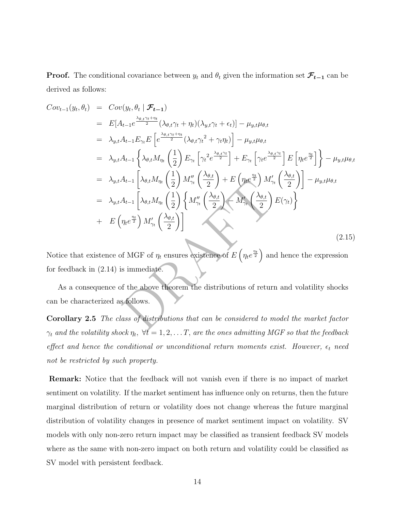**Proof.** The conditional covariance between  $y_t$  and  $\theta_t$  given the information set  $\mathcal{F}_{t-1}$  can be derived as follows:

$$
Cov_{t-1}(y_t, \theta_t) = Cov(y_t, \theta_t | \mathcal{F}_{t-1})
$$
  
\n
$$
= E[A_{t-1}e^{\frac{\lambda_{\theta,t}\gamma_t + \eta_t}{2}}(\lambda_{\theta,t}\gamma_t + \eta_t)(\lambda_{y,t}\gamma_t + \epsilon_t)] - \mu_{y,t}\mu_{\theta,t}
$$
  
\n
$$
= \lambda_{y,t}A_{t-1}E_{\gamma_t}E\left[e^{\frac{\lambda_{\theta,t}\gamma_t + \eta_t}{2}}(\lambda_{\theta,t}\gamma_t^2 + \gamma_t\eta_t)\right] - \mu_{y,t}\mu_{\theta,t}
$$
  
\n
$$
= \lambda_{y,t}A_{t-1}\left\{\lambda_{\theta,t}M_{\eta_t}\left(\frac{1}{2}\right)E_{\gamma_t}\left[\gamma_t^2e^{\frac{\lambda_{\theta,t}\gamma_t}{2}}\right] + E_{\gamma_t}\left[\gamma_t e^{\frac{\lambda_{\theta,t}\gamma_t}{2}}\right]E\left[\eta_t e^{\frac{\eta_t}{2}}\right]\right\} - \mu_{y,t}\mu_{\theta,t}
$$
  
\n
$$
= \lambda_{y,t}A_{t-1}\left[\lambda_{\theta,t}M_{\eta_t}\left(\frac{1}{2}\right)M_{\gamma_t}''\left(\frac{\lambda_{\theta,t}}{2}\right) + E\left(\eta_t e^{\frac{\eta_t}{2}}\right)M_{\gamma_t}'\left(\frac{\lambda_{\theta,t}}{2}\right)\right] - \mu_{y,t}\mu_{\theta,t}
$$
  
\n
$$
= \lambda_{y,t}A_{t-1}\left[\lambda_{\theta,t}M_{\eta_t}\left(\frac{1}{2}\right)\left\{M_{\gamma_t}''\left(\frac{\lambda_{\theta,t}}{2}\right) - M_{\gamma_t}''\left(\frac{\lambda_{\theta,t}}{2}\right)E(\gamma_t)\right\}
$$
  
\n
$$
+ E\left(\eta_t e^{\frac{\eta_t}{2}}\right)M_{\gamma_t}'\left(\frac{\lambda_{\theta,t}}{2}\right)\right]
$$
(2.15)  
\nNotice that existence of MGF of  $\eta_t$  ensures existence of  $E\left(\eta_t e^{\frac{\eta_t}{2}}\right)$  and hence the expression for feedback in (2.14) is immediate.  
\nAs a consequence of the above theorem the distributions of return and volatility shocks can be characterized as follows.  
\nCorollary 2.5 The class of distributions that can be considered to model the market factor

Notice that existence of MGF of  $\eta_t$  ensures existence of  $E\left(\eta_t e^{\frac{\eta_t}{2}}\right)$  and hence the expression for feedback in (2.14) is immediate.

As a consequence of the above theorem the distributions of return and volatility shocks can be characterized as follows.

Corollary 2.5 The class of distributions that can be considered to model the market factor  $\gamma_t$  and the volatility shock  $\eta_t$ ,  $\forall t = 1, 2, \ldots T$ , are the ones admitting MGF so that the feedback effect and hence the conditional or unconditional return moments exist. However,  $\epsilon_t$  need not be restricted by such property.

Remark: Notice that the feedback will not vanish even if there is no impact of market sentiment on volatility. If the market sentiment has influence only on returns, then the future marginal distribution of return or volatility does not change whereas the future marginal distribution of volatility changes in presence of market sentiment impact on volatility. SV models with only non-zero return impact may be classified as transient feedback SV models where as the same with non-zero impact on both return and volatility could be classified as SV model with persistent feedback.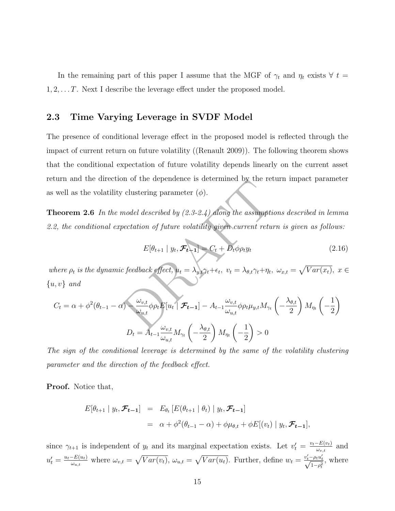In the remaining part of this paper I assume that the MGF of  $\gamma_t$  and  $\eta_t$  exists  $\forall t =$ 1 , 2, . . . T. Next I describe the leverage effect under the proposed model.

#### 2.3 Time Varying Leverage in SVDF Model

The presence of conditional leverage effect in the proposed model is reflected through the impact of current return on future volatility ((Renault 2009)). The following theorem shows that the conditional expectation of future volatility depends linearly on the current asset return and the direction of the dependence is determined by the return impact parameter as well as the volatility clustering parameter  $(\phi)$ .

**Theorem 2.6** In the model described by  $(2.3-2.4)$  along the assumptions described in lemma 2.2, the conditional expectation of future volatility given current return is given as follows:

$$
E[\theta_{t+1} | y_t, \mathcal{F}_{t-1}] = C_t + D_t \phi \rho_t y_t
$$
\n(2.16)

where  $\rho_t$  is the dynamic feedback effect,  $u_t = \lambda_{y,t} \gamma_t + \epsilon_t$ ,  $v_t = \lambda_{\theta,t} \gamma_t + \eta_t$ ,  $\omega_{x,t} = \sqrt{Var(x_t)}$ ,  $x \in$  $\{u, v\}$  and

with and the direction of the dependence is determined by the return impact parameter, well as the volatility clustering parameter (
$$
\phi
$$
).

\ntheorem 2.6 In the model described by (2.3-2.4) along the assumptions described in lemr 2, the conditional expectation of future volatility given current return is given as follows:

\n
$$
E[\theta_{t+1} | y_t, \mathcal{F}_{t-1}] = C_t + D_t \phi \rho_t y_t \qquad (2.1)
$$
\nthere  $\rho_t$  is the dynamic feedback effect,  $u_t = \lambda_{y,t} \gamma_t + \epsilon_t$ ,  $v_t = \lambda_{\theta,t} \gamma_t + \eta_t$ ,  $\omega_{x,t} = \sqrt{Var(x_t)}$ ,  $x_t$ ,  $v_t$  and

\n
$$
C_t = \alpha + \phi^2(\theta_{t-1} - \alpha) \sum_{w_{u,t}}^{\omega_{v,t}} \phi \rho_t E[u_t | \mathcal{F}_{t-1}] - A_{t-1} \frac{\omega_{v,t}}{\omega_{u,t}} \phi \rho_t \mu_{y,t} M_{\gamma_t} \left( -\frac{\lambda_{\theta,t}}{2} \right) M_{\eta_t} \left( -\frac{1}{2} \right)
$$
\n
$$
D_t = A_{t-1} \frac{\omega_{v,t}}{\omega_{u,t}} M_{\gamma_t} \left( -\frac{\lambda_{\theta,t}}{2} \right) M_{\eta_t} \left( -\frac{1}{2} \right) > 0
$$

The sign of the conditional leverage is determined by the same of the volatility clustering parameter and the direction of the feedback effect.

Proof. Notice that,

$$
E[\theta_{t+1} | y_t, \mathcal{F}_{t-1}] = E_{\theta_t} [E(\theta_{t+1} | \theta_t) | y_t, \mathcal{F}_{t-1}]
$$
  
=  $\alpha + \phi^2(\theta_{t-1} - \alpha) + \phi \mu_{\theta,t} + \phi E[(v_t) | y_t, \mathcal{F}_{t-1}],$ 

since  $\gamma_{t+1}$  is independent of  $y_t$  and its marginal expectation exists. Let  $v'_t = \frac{v_t - E(v_t)}{\omega_{v,t}}$  $\frac{-E(v_t)}{\omega_{v,t}}$  and  $u'_t = \frac{u_t - E(u_t)}{\omega_{u_t}}$  $\frac{E(u_t)}{\omega_{u,t}}$  where  $\omega_{v,t} = \sqrt{Var(v_t)}$ ,  $\omega_{u,t} = \sqrt{Var(u_t)}$ . Further, define  $w_t = \frac{v'_t - \rho_t u'_t}{\sqrt{1 - \rho_t^2}}$  $\frac{-\rho_t u_t}{1-\rho_t^2}$ , where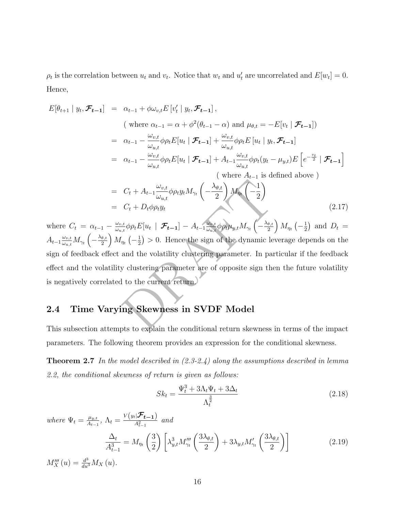$\rho_t$  is the correlation between  $u_t$  and  $v_t$ . Notice that  $w_t$  and  $u'_t$  are uncorrelated and  $E[w_t] = 0$ . Hence,

$$
E[\theta_{t+1} | y_t, \mathcal{F}_{t-1}] = \alpha_{t-1} + \phi \omega_{v,t} E[v'_t | y_t, \mathcal{F}_{t-1}],
$$
  
\n
$$
\text{(where } \alpha_{t-1} = \alpha + \phi^2(\theta_{t-1} - \alpha) \text{ and } \mu_{\theta,t} = -E[v_t | \mathcal{F}_{t-1}])
$$
  
\n
$$
= \alpha_{t-1} - \frac{\omega_{v,t}}{\omega_{u,t}} \phi \rho_t E[u_t | \mathcal{F}_{t-1}] + \frac{\omega_{v,t}}{\omega_{u,t}} \phi \rho_t E[u_t | y_t, \mathcal{F}_{t-1}]
$$
  
\n
$$
= \alpha_{t-1} - \frac{\omega_{v,t}}{\omega_{u,t}} \phi \rho_t E[u_t | \mathcal{F}_{t-1}] + A_{t-1} \frac{\omega_{v,t}}{\omega_{u,t}} \phi \rho_t (y_t - \mu_{y,t}) E\left[e^{-\frac{v_t}{2}} | \mathcal{F}_{t-1}\right]
$$
  
\n
$$
\text{(where } A_{t-1} \text{ is defined above)}
$$
  
\n
$$
= C_t + A_{t-1} \frac{\omega_{v,t}}{\omega_{u,t}} \phi \rho_t y_t M_{\gamma_t} \left(-\frac{\lambda_{\theta,t}}{2}\right) M_{\eta_t} \left(-\frac{1}{2}\right)
$$
  
\n
$$
= C_t + D_t \phi \rho_t y_t \qquad (2.17)
$$

 $C_t + A_{t-1} \frac{\omega_{v,t}}{\omega_{u,t}} \phi \rho_t y_t M_{\gamma_t} \left( -\frac{\lambda_{\theta,t}}{2} \right) M_{\eta_t} \left( -\frac{1}{2} \right)$ <br>  $C_t + D_t \phi \rho_t y_t$ <br>  $\frac{d}{dt} \phi \rho_t E[u_t \mid \mathcal{F}_{t-1}] - A_{t-1} \frac{\omega_{v,t}}{\omega_{u,t}} \phi \rho_t \mu_{y,t} M_{\gamma_t} \left( -\frac{\lambda_{\theta,t}}{2} \right) M_{\eta_t} \left( -\frac{1}{2} \right) > 0$ . Hence the sign where  $C_t = \alpha_{t-1} - \frac{\omega_{v,t}}{\omega_{u,t}}$  $\frac{\omega_{v,t}}{\omega_{u,t}}\phi \rho_t E[u_t\mid \, \mathcal{F}_{t-1}] - A_{t-1} \frac{\omega_{v,t}}{\omega_{u,t}}$  $\frac{\omega_{v,t}}{\omega_{u,t}}\phi \rho_t\mu_{y,t}M_{\gamma_t}\left($  $-\frac{\lambda_{\theta,t}}{2}$  $\left(\frac{\theta,t}{2}\right)M_{\eta_t}\left(-\frac{1}{2}\right)$  and  $D_t=$  $A_{t-1} \frac{\omega_{v,t}}{\omega_{u,t}}$  $\frac{\omega_{v,t}}{\omega_{u,t}} M_{\gamma_t}$  (  $-\frac{\lambda_{\theta,t}}{2}$  $\left(\frac{\theta,t}{2}\right)M_{\eta_t}\left(-\frac{1}{2}\right) > 0.$  Hence the sign of the dynamic leverage depends on the sign of feedback effect and the volatility clustering parameter. In particular if the feedback effect and the volatility clustering parameter are of opposite sign then the future volatility is negatively correlated to the current return.

### 2.4 Time Varying Skewness in SVDF Model

This subsection attempts to explain the conditional return skewness in terms of the impact parameters. The following theorem provides an expression for the conditional skewness.

**Theorem 2.7** In the model described in  $(2.3-2.4)$  along the assumptions described in lemma 2.2, the conditional skewness of return is given as follows:

$$
Sk_t = \frac{\Psi_t^3 + 3\Lambda_t \Psi_t + 3\Delta_t}{\Lambda_t^{\frac{3}{2}}} \tag{2.18}
$$

where  $\Psi_t = \frac{\mu_{y,t}}{A_{t-1}}$  $\frac{\mu_{y,t}}{A_{t-1}}, \ \Lambda_t = \frac{V(y_t|\mathcal{F}_{t-1})}{A_{t-1}^2}$  $\frac{A_{t-1}^2}{A_{t-1}^2}$  and  $\Delta_t$  $A_{t-1}^3$  $=M_{\eta_t}$  $\left(\frac{3}{2}\right)\bigg[\lambda_{y,t}^3 M_{\gamma_t}''' \left(\frac{3\lambda_{\theta,t}}{2}\right)$ 2  $\setminus$  $+$  3 $\lambda_{y,t} M'_{\gamma_t}$  $\int 3\lambda_{\theta,t}$ 2 (2.19)  $M_X'''(u) = \frac{d^3}{du^3}$  $\frac{d^3}{du^3} M_X(u)$ .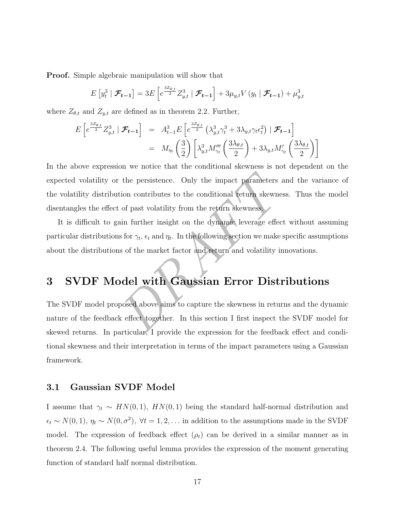Proof. Simple algebraic manipulation will show that

$$
E[y_t^3 | \mathcal{F}_{t-1}] = 3E\left[e^{\frac{3Z_{\theta,t}}{2}} Z_{y,t}^3 | \mathcal{F}_{t-1}\right] + 3\mu_{y,t} V(y_t | \mathcal{F}_{t-1}) + \mu_{y,t}^3
$$

where  $Z_{\theta,t}$  and  $Z_{y,t}$  are defined as in theorem 2.2. Further,

$$
E\left[e^{\frac{3Z_{\theta,t}}{2}}Z_{y,t}^3 \mid \mathcal{F}_{t-1}\right] = A_{t-1}^3 E\left[e^{\frac{3Z_{\theta,t}}{2}}\left(\lambda_{y,t}^3 \gamma_t^3 + 3\lambda_{y,t} \gamma_t \epsilon_t^2\right) \mid \mathcal{F}_{t-1}\right]
$$
  

$$
= M_{\eta_t}\left(\frac{3}{2}\right) \left[\lambda_{y,t}^3 M_{\gamma_t}'''\left(\frac{3\lambda_{\theta,t}}{2}\right) + 3\lambda_{y,t} M_{\gamma_t}'\left(\frac{3\lambda_{\theta,t}}{2}\right)\right]
$$

the persistence. Only the impact parameters and<br>tion contributes to the conditional return skewness.<br>of past volatility from the return skewness.<br>ain further insight on the dynamic leverage effect  $\cdot$  s for  $\gamma_t$ ,  $\epsilon_t$  In the above expression we notice that the conditional skewness is not dependent on the expected volatility or the persistence. Only the impact parameters and the variance of the volatility distribution contributes to the conditional return skewness. Thus the model disentangles the effect of past volatility from the return skewness.

It is difficult to gain further insight on the dynamic leverage effect without assuming particular distributions for  $\gamma_t$ ,  $\epsilon_t$  and  $\eta_t$ . In the following section we make specific assumptions about the distributions of the market factor and return and volatility innovations.

# 3 SVDF Model with Gaussian Error Distributions

The SVDF model proposed above aims to capture the skewness in returns and the dynamic nature of the feedback effect together. In this section I first inspect the SVDF model for skewed returns. In particular, I provide the expression for the feedback effect and conditional skewness and their interpretation in terms of the impact parameters using a Gaussian framework.

#### 3.1 Gaussian SVDF Model

I assume that  $\gamma_t \sim HN(0,1)$ ,  $HN(0,1)$  being the standard half-normal distribution and  $\epsilon_t \sim N(0, 1), \eta_t \sim N(0, \sigma^2), \forall t = 1, 2, \dots$  in addition to the assumptions made in the SVDF model. The expression of feedback effect  $(\rho_t)$  can be derived in a similar manner as in theorem 2.4. The following useful lemma provides the expression of the moment generating function of standard half normal distribution.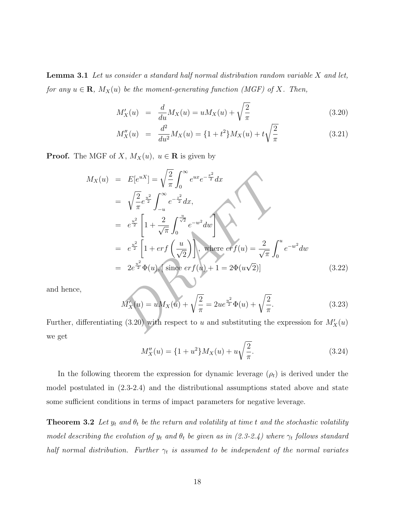**Lemma 3.1** Let us consider a standard half normal distribution random variable  $X$  and let, for any  $u \in \mathbf{R}$ ,  $M_X(u)$  be the moment-generating function (MGF) of X. Then,

$$
M_X'(u) = \frac{d}{du} M_X(u) = u M_X(u) + \sqrt{\frac{2}{\pi}} \tag{3.20}
$$

$$
M_X''(u) = \frac{d^2}{du^2} M_X(u) = \{1 + t^2\} M_X(u) + t\sqrt{\frac{2}{\pi}}
$$
(3.21)

**Proof.** The MGF of X,  $M_X(u)$ ,  $u \in \mathbf{R}$  is given by

$$
M_X(u) = E[e^{uX}] = \sqrt{\frac{2}{\pi}} \int_0^{\infty} e^{ux} e^{-\frac{x^2}{2}} dx
$$
  
\n
$$
= \sqrt{\frac{2}{\pi}} e^{-\frac{u^2}{2}} \int_{-u}^{\infty} e^{-\frac{z^2}{2}} dx,
$$
  
\n
$$
= e^{\frac{u^2}{2}} \left[ 1 + \frac{2}{\sqrt{\pi}} \int_0^{\frac{u}{\sqrt{2}}} e^{-w^2} dw \right]
$$
  
\n
$$
= e^{\frac{u^2}{2}} \left[ 1 + erf\left(\frac{u}{\sqrt{2}}\right) \right], \text{ where } erf(u) = \frac{2}{\sqrt{\pi}} \int_0^u e^{-w^2} dw
$$
  
\n
$$
= 2e^{\frac{u^2}{2}} \Phi(u), \text{ since } erf(u) + 1 = 2\Phi(u\sqrt{2})]
$$
  
\n
$$
M'_X(u) = uM_X(u) + \sqrt{\frac{2}{\pi}} = 2ue^{\frac{u^2}{2}} \Phi(u) + \sqrt{\frac{2}{\pi}}.
$$
  
\n(3.23)  
\nferentiating (3.20) with respect to  $u$  and substituting the expression for  $M'_X(u)$ 

and hence,

$$
M_X'(u) = uM_X(u) + \sqrt{\frac{2}{\pi}} = 2ue^{\frac{u^2}{2}}\Phi(u) + \sqrt{\frac{2}{\pi}}.
$$
\n(3.23)

Further, differentiating (3.20) with respect to u and substituting the expression for  $M'_X(u)$ we get

$$
M_X''(u) = \{1 + u^2\} M_X(u) + u \sqrt{\frac{2}{\pi}}.
$$
\n(3.24)

In the following theorem the expression for dynamic leverage  $(\rho_t)$  is derived under the model postulated in (2.3-2.4) and the distributional assumptions stated above and state some sufficient conditions in terms of impact parameters for negative leverage.

**Theorem 3.2** Let  $y_t$  and  $\theta_t$  be the return and volatility at time t and the stochastic volatility model describing the evolution of  $y_t$  and  $\theta_t$  be given as in (2.3-2.4) where  $\gamma_t$  follows standard half normal distribution. Further  $\gamma_t$  is assumed to be independent of the normal variates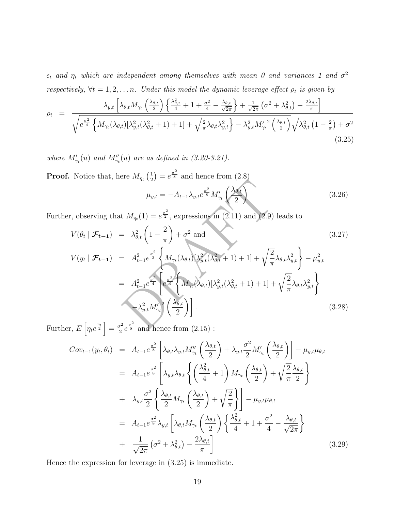$\epsilon_t$  and  $\eta_t$  which are independent among themselves with mean 0 and variances 1 and  $\sigma^2$ respectively,  $\forall t = 1, 2, \ldots n$ . Under this model the dynamic leverage effect  $\rho_t$  is given by

$$
\rho_t = \frac{\lambda_{y,t} \left[ \lambda_{\theta,t} M_{\gamma_t} \left( \frac{\lambda_{\theta,t}}{2} \right) \left\{ \frac{\lambda_{\theta,t}^2}{4} + 1 + \frac{\sigma^2}{4} - \frac{\lambda_{\theta,t}}{\sqrt{2\pi}} \right\} + \frac{1}{\sqrt{2\pi}} \left( \sigma^2 + \lambda_{\theta,t}^2 \right) - \frac{2\lambda_{\theta,t}}{\pi} \right]}{\sqrt{e^{\frac{\sigma^2}{4}}} \left\{ M_{\gamma_t} (\lambda_{\theta,t}) \left[ \lambda_{y,t}^2 (\lambda_{\theta,t}^2 + 1) + 1 \right] + \sqrt{\frac{2}{\pi}} \lambda_{\theta,t} \lambda_{y,t}^2 \right\} - \lambda_{y,t}^2 M_{\gamma_t}^{\prime 2} \left( \frac{\lambda_{\theta,t}}{2} \right)} \sqrt{\lambda_{\theta,t}^2 \left( 1 - \frac{2}{\pi} \right) + \sigma^2} \tag{3.25}
$$

where  $M'_{\gamma_t}(u)$  and  $M''_{\gamma_t}(u)$  are as defined in (3.20-3.21).

**Proof.** Notice that, here  $M_{\eta_t}\left(\frac{1}{2}\right) = e^{\frac{\sigma^2}{8}}$  and hence from (2.8)  $\mu_{y,t}=-A_{t-1}\lambda_{y,t}e^{\frac{\sigma^2}{8}}M'_{\gamma_t}$  $\bigwedge_{\theta,t}$ 2  $\setminus$ (3.26)

Further, observing that  $M_{\eta_t}(1) = e^{\frac{\sigma^2}{2}}$ , expressions in (2.11) and (2.9) leads to

$$
V(\theta_t \mid \mathcal{F}_{t-1}) = \lambda_{\theta,t}^2 \left(1 - \frac{2}{\pi}\right) + \sigma^2 \text{ and}
$$
\n(3.27)

$$
\mu_{y,t} = -A_{t-1}\lambda_{y,t}e^{\frac{\sigma^2}{8}}M'_{\gamma_t}\left(\frac{\lambda_{\theta,t}}{2}\right)
$$
(3.26)  
, observing that  $M_{\eta_t}(1) = e^{\frac{\sigma^2}{2}}$ , expressions in (2.11) and (2.9) leads to  

$$
V(\theta_t | \mathcal{F}_{t-1}) = \lambda_{\theta,t}^2 \left(1 - \frac{2}{\pi}\right) + \sigma^2 \text{ and}
$$
(3.27)  

$$
V(y_t | \mathcal{F}_{t-1}) = A_{t-1}^2 e^{\frac{\sigma^2}{2}} \left\{ M_{\gamma_t}(\lambda_{\theta,t})[\lambda_{y,t}^2(\lambda_{\theta,t}^2 + 1) + 1] + \sqrt{\frac{2}{\pi}}\lambda_{\theta,t}\lambda_{y,t}^2 \right\} - \mu_{y,t}^2
$$

$$
= A_{t-1}^2 e^{\frac{\sigma^2}{4}} \left[e^{\frac{\sigma^2}{4}}\left\{ M_{\gamma_t}(\lambda_{\theta,t})[\lambda_{y,t}^2(\lambda_{\theta,t}^2 + 1) + 1] + \sqrt{\frac{2}{\pi}}\lambda_{\theta,t}\lambda_{y,t}^2 \right\}
$$

$$
- \lambda_{y,t}^2 M'_{\gamma_t}^2 \left(\frac{\lambda_{\theta,t}}{2}\right)\right].
$$
(3.28)  
, 
$$
E\left[\eta_t e^{\frac{\eta_t}{2}}\right] = \frac{\sigma^2}{2} e^{\frac{\sigma^2}{8}}
$$
 and hence from (2.15):

Further,  $E\left[\eta_t e^{\frac{\eta_t}{2}}\right] = \frac{\sigma^2}{2}$  $\frac{\sigma^2}{2}e^{\frac{\sigma^2}{8}}$  and hence from  $(2.15)$ :

$$
Cov_{t-1}(y_t, \theta_t) = A_{t-1}e^{\frac{\sigma^2}{8}} \left[ \lambda_{\theta,t} \lambda_{y,t} M''_{\gamma_t} \left( \frac{\lambda_{\theta,t}}{2} \right) + \lambda_{y,t} \frac{\sigma^2}{2} M'_{\gamma_t} \left( \frac{\lambda_{\theta,t}}{2} \right) \right] - \mu_{y,t} \mu_{\theta,t}
$$
  
\n
$$
= A_{t-1}e^{\frac{\sigma^2}{8}} \left[ \lambda_{y,t} \lambda_{\theta,t} \left\{ \left( \frac{\lambda_{\theta,t}^2}{4} + 1 \right) M_{\gamma_t} \left( \frac{\lambda_{\theta,t}}{2} \right) + \sqrt{\frac{2}{\pi}} \frac{\lambda_{\theta,t}}{2} \right\} \right]
$$
  
\n
$$
+ \lambda_{y,t} \frac{\sigma^2}{2} \left\{ \frac{\lambda_{\theta,t}}{2} M_{\gamma_t} \left( \frac{\lambda_{\theta,t}}{2} \right) + \sqrt{\frac{2}{\pi}} \right\} \right] - \mu_{y,t} \mu_{\theta,t}
$$
  
\n
$$
= A_{t-1}e^{\frac{\sigma^2}{8}} \lambda_{y,t} \left[ \lambda_{\theta,t} M_{\gamma_t} \left( \frac{\lambda_{\theta,t}}{2} \right) \left\{ \frac{\lambda_{\theta,t}^2}{4} + 1 + \frac{\sigma^2}{4} - \frac{\lambda_{\theta,t}}{\sqrt{2\pi}} \right\}
$$
  
\n
$$
+ \frac{1}{\sqrt{2\pi}} \left( \sigma^2 + \lambda_{\theta,t}^2 \right) - \frac{2\lambda_{\theta,t}}{\pi} \right]
$$
(3.29)

Hence the expression for leverage in (3.25) is immediate.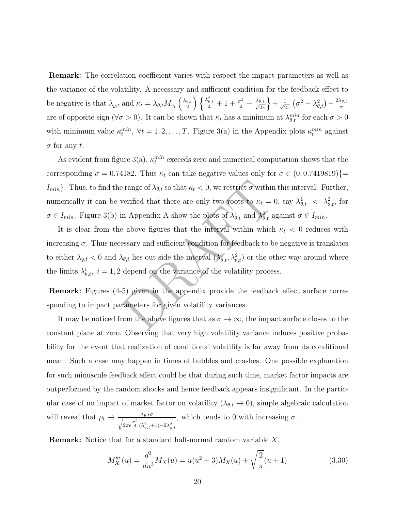Remark: The correlation coefficient varies with respect the impact parameters as well as the variance of the volatility. A necessary and sufficient condition for the feedback effect to be negative is that  $\lambda_{y,t}$  and  $\kappa_t = \lambda_{\theta,t} M_{\gamma_t} \left( \frac{\lambda_{\theta,t}}{2} \right)$  $\left(\frac{\theta,t}{2}\right)\left\{\frac{\lambda_{\theta,t}^2}{4}+1+\frac{\sigma^2}{4}\right\}$  $\left(\frac{\sigma^2}{4}-\frac{\lambda_{\theta,t}}{\sqrt{2\pi}}\right)+\frac{1}{\sqrt{2\pi}}\left(\sigma^2+\lambda_{\theta,t}^2\right)-\frac{2\lambda_{\theta,t}}{\pi}$ π are of opposite sign ( $\forall \sigma > 0$ ). It can be shown that  $\kappa_t$  has a minimum at  $\lambda_{\theta,t}^{min}$  for each  $\sigma > 0$ with minimum value  $\kappa_t^{min}$ ,  $\forall t = 1, 2, ..., T$ . Figure 3(a) in the Appendix plots  $\kappa_t^{min}$  against  $\sigma$  for any t.

As evident from figure 3(a),  $\kappa_t^{min}$  exceeds zero and numerical computation shows that the corresponding  $\sigma = 0.74182$ . Thus  $\kappa_t$  can take negative values only for  $\sigma \in (0, 0.7419819)$  {=  $I_{min}$ . Thus, to find the range of  $\lambda_{\theta,t}$  so that  $\kappa_t < 0$ , we restrict  $\sigma$  within this interval. Further, numerically it can be verified that there are only two roots to  $\kappa_t = 0$ , say  $\lambda_{\theta,t}^1 < \lambda_{\theta,t}^2$ , for  $\sigma \in I_{min}$ . Figure 3(b) in Appendix A show the plots of  $\lambda_{\theta,t}^1$  and  $\lambda_{\theta,t}^2$  against  $\sigma \in I_{min}$ .

e range of  $\lambda_{\theta,t}$  so that  $\kappa_t < 0$ , we restrict  $\sigma$  within this<br>verified that there are only two roots to  $\kappa_t = 0$ , s<br>n Appendix A show the plots of  $\lambda_{\theta,t}^1$  and  $\lambda_{\theta,t}^2$  again<br>e above figures that the interva It is clear from the above figures that the interval within which  $\kappa_t < 0$  reduces with increasing  $\sigma$ . Thus necessary and sufficient condition for feedback to be negative is translates to either  $\lambda_{y,t} < 0$  and  $\lambda_{\theta,t}$  lies out side the interval  $(\lambda_{\theta,t}^1, \lambda_{\theta,t}^2)$  or the other way around where the limits  $\lambda_{\theta,t}^i$ ,  $i = 1, 2$  depend on the variance of the volatility process.

Remark: Figures (4-5) given in the appendix provide the feedback effect surface corresponding to impact parameters for given volatility variances.

It may be noticed from the above figures that as  $\sigma \to \infty$ , the impact surface closes to the constant plane at zero. Observing that very high volatility variance induces positive probability for the event that realization of conditional volatility is far away from its conditional mean. Such a case may happen in times of bubbles and crashes. One possible explanation for such minuscule feedback effect could be that during such time, market factor impacts are outperformed by the random shocks and hence feedback appears insignificant. In the particular case of no impact of market factor on volatility  $(\lambda_{\theta,t} \to 0)$ , simple algebraic calculation will reveal that  $\rho_t \to \frac{\lambda_{y,t}\sigma}{\sqrt{\sigma^2 + \rho^2}}$  $\sqrt{2\pi e^{\frac{\sigma^2}{4}}(\lambda_{y,t}^2+1)-2\lambda_{y,t}^2}$ , which tends to 0 with increasing  $\sigma$ .

**Remark:** Notice that for a standard half-normal random variable  $X$ ,

$$
M_X'''(u) = \frac{d^3}{du^3} M_X(u) = u(u^2 + 3) M_X(u) + \sqrt{\frac{2}{\pi}} (u+1)
$$
\n(3.30)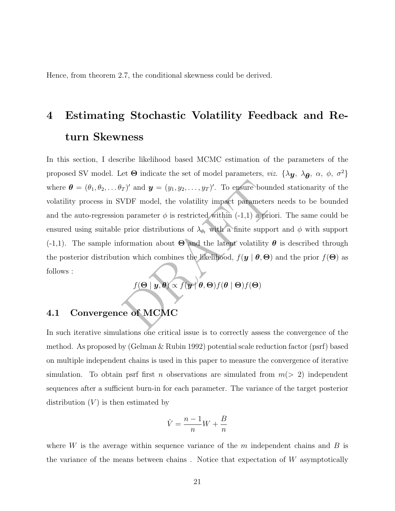Hence, from theorem 2.7, the conditional skewness could be derived.

# 4 Estimating Stochastic Volatility Feedback and Return Skewness

 $\langle T \rangle'$  and  $\mathbf{y} = (y_1, y_2, \dots, y_T)'$ . To ensure bounded<br>VDF model, the volatility impact parameters near parameter  $\phi$  is restricted within (-1,1) a priori.<br>prior distributions of  $\lambda_{\theta_t}$  with a finite support a<br>forma In this section, I describe likelihood based MCMC estimation of the parameters of the proposed SV model. Let  $\Theta$  indicate the set of model parameters, *viz.*  $\{\lambda y, \lambda \theta, \alpha, \phi, \sigma^2\}$ where  $\boldsymbol{\theta} = (\theta_1, \theta_2, \dots, \theta_T)'$  and  $\boldsymbol{y} = (y_1, y_2, \dots, y_T)'$ . To ensure bounded stationarity of the volatility process in SVDF model, the volatility impact parameters needs to be bounded and the auto-regression parameter  $\phi$  is restricted within  $(-1,1)$  a priori. The same could be ensured using suitable prior distributions of  $\lambda_{\theta_t}$  with a finite support and  $\phi$  with support  $(-1,1)$ . The sample information about  $\Theta$  and the latent volatility  $\theta$  is described through the posterior distribution which combines the likelihood,  $f(\mathbf{y} \mid \boldsymbol{\theta}, \boldsymbol{\Theta})$  and the prior  $f(\boldsymbol{\Theta})$  as follows :

 $f(\boldsymbol{\Theta} \mid \boldsymbol{y}, \boldsymbol{\theta}) \propto f(\boldsymbol{y} \mid \boldsymbol{\theta}, \boldsymbol{\Theta}) f(\boldsymbol{\theta} \mid \boldsymbol{\Theta}) f(\boldsymbol{\Theta})$ 

### 4.1 Convergence of MCMC

In such iterative simulations one critical issue is to correctly assess the convergence of the method. As proposed by (Gelman & Rubin 1992) potential scale reduction factor (psrf) based on multiple independent chains is used in this paper to measure the convergence of iterative simulation. To obtain psrf first *n* observations are simulated from  $m(> 2)$  independent sequences after a sufficient burn-in for each parameter. The variance of the target posterior distribution  $(V)$  is then estimated by

$$
\hat{V} = \frac{n-1}{n}W + \frac{B}{n}
$$

where  $W$  is the average within sequence variance of the  $m$  independent chains and  $B$  is the variance of the means between chains . Notice that expectation of W asymptotically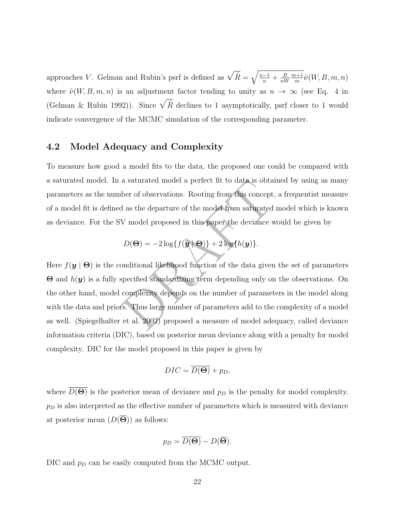approaches V. Gelman and Rubin's psrf is defined as  $\sqrt{\hat{R}} = \sqrt{\frac{n-1}{n}}$  $\frac{-1}{n} + \frac{B}{nW}$  $nW$  $m+1$  $\frac{n+1}{m}\hat{\nu}(W,B,m,n)$ where  $\hat{\nu}(W, B, m, n)$  is an adjustment factor tending to unity as  $n \to \infty$  (see Eq. 4 in (Gelman & Rubin 1992)). Since  $\sqrt{\hat{R}}$  declines to 1 asymptotically, psrf closer to 1 would indicate convergence of the MCMC simulation of the corresponding parameter.

#### 4.2 Model Adequacy and Complexity

To measure how good a model fits to the data, the proposed one could be compared with a saturated model. In a saturated model a perfect fit to data is obtained by using as many parameters as the number of observations. Rooting from this concept, a frequentist measure of a model fit is defined as the departure of the model from saturated model which is known as deviance. For the SV model proposed in this paper the deviance would be given by

$$
D(\Theta) = -2\log\{f(\mathbf{y} \mid \Theta)\} + 2\log\{h(\mathbf{y})\}.
$$

a saturated model a perfect fit to data is obtained<br>ber of observations. Rooting from this concept, a f<br>d as the departure of the model from saturated mo<br>V model proposed in this paper the deviance woul<br> $D(\Theta) = -2\log\{f(\mathbf{y$ Here  $f(\mathbf{y} \mid \boldsymbol{\Theta})$  is the conditional likelihood function of the data given the set of parameters  $\Theta$  and  $h(\boldsymbol{y})$  is a fully specified standardizing term depending only on the observations. On the other hand, model complexity depends on the number of parameters in the model along with the data and priors. Thus large number of parameters add to the complexity of a model as well. (Spiegelhalter et al. 2002) proposed a measure of model adequacy, called deviance information criteria (DIC), based on posterior mean deviance along with a penalty for model complexity. DIC for the model proposed in this paper is given by

$$
DIC = \overline{D(\Theta)} + p_D,
$$

where  $D(\Theta)$  is the posterior mean of deviance and  $p<sub>D</sub>$  is the penalty for model complexity.  $p_D$  is also interpreted as the effective number of parameters which is measured with deviance at posterior mean  $(D(\Theta))$  as follows:

$$
p_D = \overline{D(\Theta)} - D(\overline{\Theta}).
$$

DIC and  $p<sub>D</sub>$  can be easily computed from the MCMC output.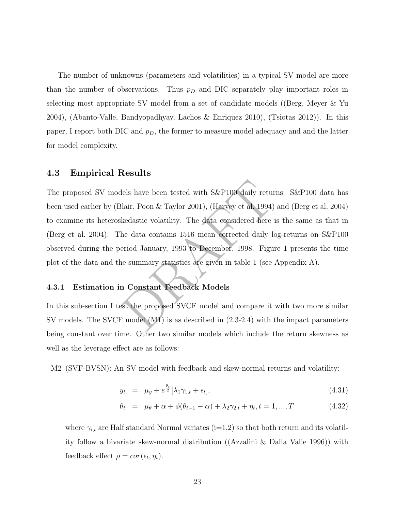The number of unknowns (parameters and volatilities) in a typical SV model are more than the number of observations. Thus  $p<sub>D</sub>$  and DIC separately play important roles in selecting most appropriate SV model from a set of candidate models ((Berg, Meyer & Yu 2004), (Abanto-Valle, Bandyopadhyay, Lachos & Enriquez 2010), (Tsiotas 2012)). In this paper, I report both DIC and  $p<sub>D</sub>$ , the former to measure model adequacy and and the latter for model complexity.

#### 4.3 Empirical Results

lels have been tested with S&P100 daily returns.<br>
lair, Poon & Taylor 2001), (Harvey et al. 1994) and<br>
kedastic volatility. The data considered here is the<br>
data contains 1516 mean corrected daily log-<br>
eriod January, 1993 The proposed SV models have been tested with S&P100 daily returns. S&P100 data has been used earlier by (Blair, Poon & Taylor 2001), (Harvey et al. 1994) and (Berg et al. 2004) to examine its heteroskedastic volatility. The data considered here is the same as that in (Berg et al. 2004). The data contains 1516 mean corrected daily log-returns on S&P100 observed during the period January, 1993 to December, 1998. Figure 1 presents the time plot of the data and the summary statistics are given in table 1 (see Appendix A).

#### 4.3.1 Estimation in Constant Feedback Models

In this sub-section I test the proposed SVCF model and compare it with two more similar SV models. The SVCF model (M1) is as described in (2.3-2.4) with the impact parameters being constant over time. Other two similar models which include the return skewness as well as the leverage effect are as follows:

M2 (SVF-BVSN): An SV model with feedback and skew-normal returns and volatility:

$$
y_t = \mu_y + e^{\frac{\theta_t}{2}} [\lambda_1 \gamma_{1,t} + \epsilon_t], \qquad (4.31)
$$

$$
\theta_t = \mu_{\theta} + \alpha + \phi(\theta_{t-1} - \alpha) + \lambda_2 \gamma_{2,t} + \eta_t, t = 1, ..., T
$$
\n(4.32)

where  $\gamma_{i,t}$  are Half standard Normal variates (i=1,2) so that both return and its volatility follow a bivariate skew-normal distribution ((Azzalini & Dalla Valle 1996)) with feedback effect  $\rho = cor(\epsilon_t, \eta_t)$ .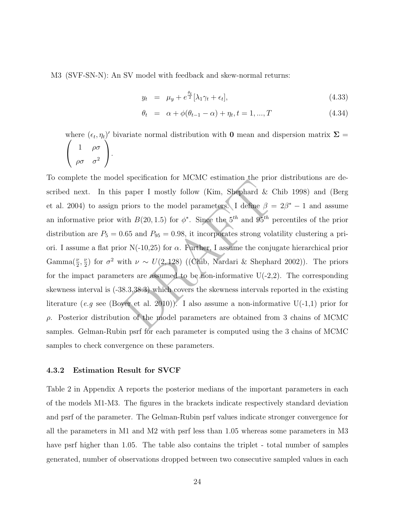M3 (SVF-SN-N): An SV model with feedback and skew-normal returns:

$$
y_t = \mu_y + e^{\frac{\theta_t}{2}} [\lambda_1 \gamma_t + \epsilon_t], \qquad (4.33)
$$

$$
\theta_t = \alpha + \phi(\theta_{t-1} - \alpha) + \eta_t, t = 1, ..., T \tag{4.34}
$$

where  $(\epsilon_t, \eta_t)'$  bivariate normal distribution with **0** mean and dispersion matrix  $\Sigma$  =  $\sqrt{ }$  $\mathcal{L}$ 1  $\rho\sigma$  $\left(\begin{array}{cc} 1 & \rho\sigma \ \rho\sigma & \sigma^2 \end{array}\right).$ 

paper I mostly follow (Kim, Shephard & Chil<br>priors to the model parameters. I define  $\beta = 2/4$ <br>ith  $B(20, 1.5)$  for  $\phi^*$ . Since the  $5^{th}$  and  $95^{th}$  perc<br>0.65 and  $P_{95} = 0.98$ , it incorporates strong volatili<br>or N(-1 To complete the model specification for MCMC estimation the prior distributions are described next. In this paper I mostly follow (Kim, Shephard & Chib 1998) and (Berg et al. 2004) to assign priors to the model parameters. I define  $\beta = 2\beta^* - 1$  and assume an informative prior with  $B(20, 1.5)$  for  $\phi^*$ . Since the  $5^{th}$  and  $95^{th}$  percentiles of the prior distribution are  $P_5 = 0.65$  and  $P_{95} = 0.98$ , it incorporates strong volatility clustering a priori. I assume a flat prior  $N(-10,25)$  for  $\alpha$ . Further, I assume the conjugate hierarchical prior  $\text{Gamma}(\frac{\nu}{2})$  $\frac{\nu}{2}, \frac{\nu}{2}$  $\frac{\nu}{2}$ ) for  $\sigma^2$  with  $\nu \sim U(2, 128)$  ((Chib, Nardari & Shephard 2002)). The priors for the impact parameters are assumed to be non-informative  $U(-2,2)$ . The corresponding skewness interval is (-38.3,38.3) which covers the skewness intervals reported in the existing literature (e.g see (Boyer et al. 2010)). I also assume a non-informative U(-1,1) prior for ρ. Posterior distribution of the model parameters are obtained from 3 chains of MCMC samples. Gelman-Rubin psrf for each parameter is computed using the 3 chains of MCMC samples to check convergence on these parameters.

#### 4.3.2 Estimation Result for SVCF

Table 2 in Appendix A reports the posterior medians of the important parameters in each of the models M1-M3. The figures in the brackets indicate respectively standard deviation and psrf of the parameter. The Gelman-Rubin psrf values indicate stronger convergence for all the parameters in M1 and M2 with psrf less than 1.05 whereas some parameters in M3 have psrf higher than 1.05. The table also contains the triplet - total number of samples generated, number of observations dropped between two consecutive sampled values in each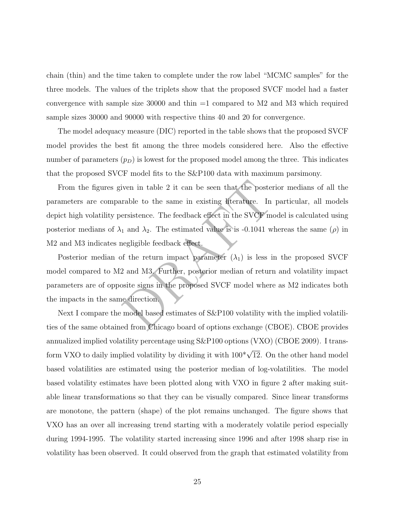chain (thin) and the time taken to complete under the row label "MCMC samples" for the three models. The values of the triplets show that the proposed SVCF model had a faster convergence with sample size  $30000$  and thin  $=1$  compared to M2 and M3 which required sample sizes 30000 and 90000 with respective thins 40 and 20 for convergence.

The model adequacy measure (DIC) reported in the table shows that the proposed SVCF model provides the best fit among the three models considered here. Also the effective number of parameters  $(p_D)$  is lowest for the proposed model among the three. This indicates that the proposed SVCF model fits to the S&P100 data with maximum parsimony.

iven in table 2 it can be seen that the posterior<br>rable to the same in existing literature. In par<br>ersistence. The feedback effect in the SVCF model<br>1 and  $\lambda_2$ . The estimated value is is -0.1041 where<br>negligible feedbac From the figures given in table 2 it can be seen that the posterior medians of all the parameters are comparable to the same in existing literature. In particular, all models depict high volatility persistence. The feedback effect in the SVCF model is calculated using posterior medians of  $\lambda_1$  and  $\lambda_2$ . The estimated value is is -0.1041 whereas the same  $(\rho)$  in M2 and M3 indicates negligible feedback effect.

Posterior median of the return impact parameter  $(\lambda_1)$  is less in the proposed SVCF model compared to M2 and M3. Further, posterior median of return and volatility impact parameters are of opposite signs in the proposed SVCF model where as M2 indicates both the impacts in the same direction.

Next I compare the model based estimates of  $S\&P100$  volatility with the implied volatilities of the same obtained from Chicago board of options exchange (CBOE). CBOE provides annualized implied volatility percentage using S&P100 options (VXO) (CBOE 2009). I transform VXO to daily implied volatility by dividing it with  $100^* \sqrt{12}$ . On the other hand model based volatilities are estimated using the posterior median of log-volatilities. The model based volatility estimates have been plotted along with VXO in figure 2 after making suitable linear transformations so that they can be visually compared. Since linear transforms are monotone, the pattern (shape) of the plot remains unchanged. The figure shows that VXO has an over all increasing trend starting with a moderately volatile period especially during 1994-1995. The volatility started increasing since 1996 and after 1998 sharp rise in volatility has been observed. It could observed from the graph that estimated volatility from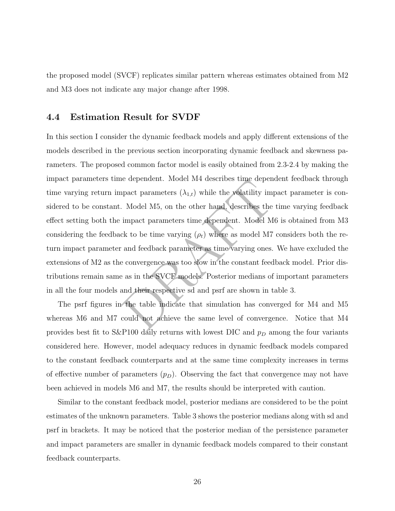the proposed model (SVCF) replicates similar pattern whereas estimates obtained from M2 and M3 does not indicate any major change after 1998.

#### 4.4 Estimation Result for SVDF

e dependent. Model M4 describes the dependent<br>pact parameters  $(\lambda_{1,t})$  while the volatility impact<br>Model M5, on the other hand, describes the tim<br>impact parameters time dependent. Model M6 is<br>ck to be time varying  $(\rho_t)$  In this section I consider the dynamic feedback models and apply different extensions of the models described in the previous section incorporating dynamic feedback and skewness parameters. The proposed common factor model is easily obtained from 2.3-2.4 by making the impact parameters time dependent. Model M4 describes time dependent feedback through time varying return impact parameters  $(\lambda_{1,t})$  while the volatility impact parameter is considered to be constant. Model M5, on the other hand, describes the time varying feedback effect setting both the impact parameters time dependent. Model M6 is obtained from M3 considering the feedback to be time varying  $(\rho_t)$  where as model M7 considers both the return impact parameter and feedback parameter as time varying ones. We have excluded the extensions of M2 as the convergence was too slow in the constant feedback model. Prior distributions remain same as in the SVCF models. Posterior medians of important parameters in all the four models and their respective sd and psrf are shown in table 3.

The psrf figures in the table indicate that simulation has converged for M4 and M5 whereas M6 and M7 could not achieve the same level of convergence. Notice that M4 provides best fit to  $S\&P100$  daily returns with lowest DIC and  $p<sub>D</sub>$  among the four variants considered here. However, model adequacy reduces in dynamic feedback models compared to the constant feedback counterparts and at the same time complexity increases in terms of effective number of parameters  $(p_D)$ . Observing the fact that convergence may not have been achieved in models M6 and M7, the results should be interpreted with caution.

Similar to the constant feedback model, posterior medians are considered to be the point estimates of the unknown parameters. Table 3 shows the posterior medians along with sd and psrf in brackets. It may be noticed that the posterior median of the persistence parameter and impact parameters are smaller in dynamic feedback models compared to their constant feedback counterparts.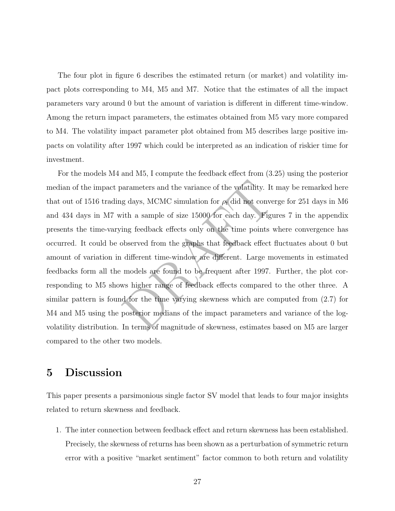The four plot in figure 6 describes the estimated return (or market) and volatility impact plots corresponding to M4, M5 and M7. Notice that the estimates of all the impact parameters vary around 0 but the amount of variation is different in different time-window. Among the return impact parameters, the estimates obtained from M5 vary more compared to M4. The volatility impact parameter plot obtained from M5 describes large positive impacts on volatility after 1997 which could be interpreted as an indication of riskier time for investment.

barameters and the variance of the volatility. It ma<br>g days, MCMC simulation for  $\rho_t$  did not converge<br>ith a sample of size 15000 for each day. Figures<br>ing feedback effects only on the time points whe<br>bbserved from the g For the models M4 and M5, I compute the feedback effect from (3.25) using the posterior median of the impact parameters and the variance of the volatility. It may be remarked here that out of 1516 trading days, MCMC simulation for  $\rho_t$  did not converge for 251 days in M6 and 434 days in M7 with a sample of size 15000 for each day. Figures 7 in the appendix presents the time-varying feedback effects only on the time points where convergence has occurred. It could be observed from the graphs that feedback effect fluctuates about 0 but amount of variation in different time-window are different. Large movements in estimated feedbacks form all the models are found to be frequent after 1997. Further, the plot corresponding to M5 shows higher range of feedback effects compared to the other three. A similar pattern is found for the time varying skewness which are computed from (2.7) for M4 and M5 using the posterior medians of the impact parameters and variance of the logvolatility distribution. In terms of magnitude of skewness, estimates based on M5 are larger compared to the other two models.

## 5 Discussion

This paper presents a parsimonious single factor SV model that leads to four major insights related to return skewness and feedback.

1. The inter connection between feedback effect and return skewness has been established. Precisely, the skewness of returns has been shown as a perturbation of symmetric return error with a positive "market sentiment" factor common to both return and volatility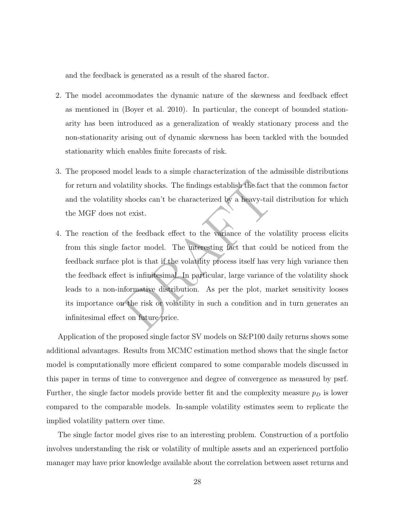and the feedback is generated as a result of the shared factor.

- 2. The model accommodates the dynamic nature of the skewness and feedback effect as mentioned in (Boyer et al. 2010). In particular, the concept of bounded stationarity has been introduced as a generalization of weakly stationary process and the non-stationarity arising out of dynamic skewness has been tackled with the bounded stationarity which enables finite forecasts of risk.
- 3. The proposed model leads to a simple characterization of the admissible distributions for return and volatility shocks. The findings establish the fact that the common factor and the volatility shocks can't be characterized by a heavy-tail distribution for which the MGF does not exist.
- latility shocks. The findings establish the fact that<br>v shocks can't be characterized by a heavy-tail dis<br>of exist.<br>the feedback effect to the variance of the volati<br>factor model. The interesting fact that could be<br>plot is 4. The reaction of the feedback effect to the variance of the volatility process elicits from this single factor model. The interesting fact that could be noticed from the feedback surface plot is that if the volatility process itself has very high variance then the feedback effect is infinitesimal. In particular, large variance of the volatility shock leads to a non-informative distribution. As per the plot, market sensitivity looses its importance on the risk or volatility in such a condition and in turn generates an infinitesimal effect on future price.

Application of the proposed single factor SV models on S&P100 daily returns shows some additional advantages. Results from MCMC estimation method shows that the single factor model is computationally more efficient compared to some comparable models discussed in this paper in terms of time to convergence and degree of convergence as measured by psrf. Further, the single factor models provide better fit and the complexity measure  $p<sub>D</sub>$  is lower compared to the comparable models. In-sample volatility estimates seem to replicate the implied volatility pattern over time.

The single factor model gives rise to an interesting problem. Construction of a portfolio involves understanding the risk or volatility of multiple assets and an experienced portfolio manager may have prior knowledge available about the correlation between asset returns and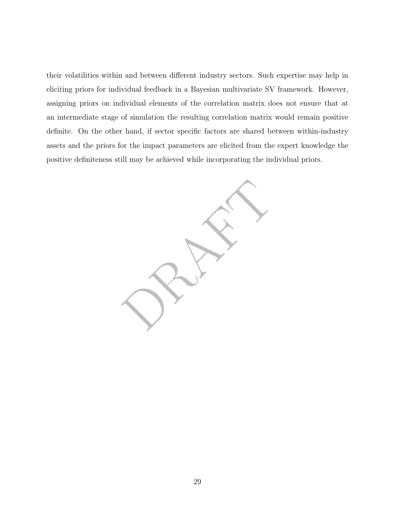their volatilities within and between different industry sectors. Such expertise may help in eliciting priors for individual feedback in a Bayesian multivariate SV framework. However, assigning priors on individual elements of the correlation matrix does not ensure that at an intermediate stage of simulation the resulting correlation matrix would remain positive definite. On the other hand, if sector specific factors are shared between within-industry assets and the priors for the impact parameters are elicited from the expert knowledge the positive definiteness still may be achieved while incorporating the individual priors.

Prints Rep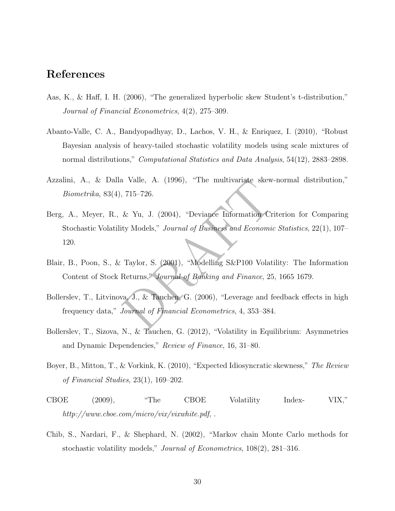## References

- Aas, K., & Haff, I. H. (2006), "The generalized hyperbolic skew Student's t-distribution," Journal of Financial Econometrics, 4(2), 275–309.
- Abanto-Valle, C. A., Bandyopadhyay, D., Lachos, V. H., & Enriquez, I. (2010), "Robust Bayesian analysis of heavy-tailed stochastic volatility models using scale mixtures of normal distributions," Computational Statistics and Data Analysis, 54(12), 2883–2898.
- Azzalini, A., & Dalla Valle, A. (1996), "The multivariate skew-normal distribution," Biometrika, 83(4), 715–726.
- valle, A. (1996), "The multivariate skew-nor<br>
715–726.<br>
& Yu, J. (2004), "Deviance Information Criteri<br>
ty Models," Journal of Business and Economic State<br>
Taylor, S. (2001), "Modelling S&P100 Volatility<br>
Returns," Journal Berg, A., Meyer, R., & Yu, J. (2004), "Deviance Information Criterion for Comparing Stochastic Volatility Models," Journal of Business and Economic Statistics, 22(1), 107– 120.
- Blair, B., Poon, S., & Taylor, S. (2001), "Modelling S&P100 Volatility: The Information Content of Stock Returns," Journal of Banking and Finance, 25, 1665 1679.
- Bollerslev, T., Litvinova, J., & Tauchen, G. (2006), "Leverage and feedback effects in high frequency data," Journal of Financial Econometrics, 4, 353–384.
- Bollerslev, T., Sizova, N., & Tauchen, G. (2012), "Volatility in Equilibrium: Asymmetries and Dynamic Dependencies," Review of Finance, 16, 31–80.
- Boyer, B., Mitton, T., & Vorkink, K. (2010), "Expected Idiosyncratic skewness," The Review of Financial Studies, 23(1), 169–202.
- CBOE (2009), "The CBOE Volatility Index- VIX," http://www.cboe.com/micro/vix/vixwhite.pdf,...
- Chib, S., Nardari, F., & Shephard, N. (2002), "Markov chain Monte Carlo methods for stochastic volatility models," Journal of Econometrics, 108(2), 281–316.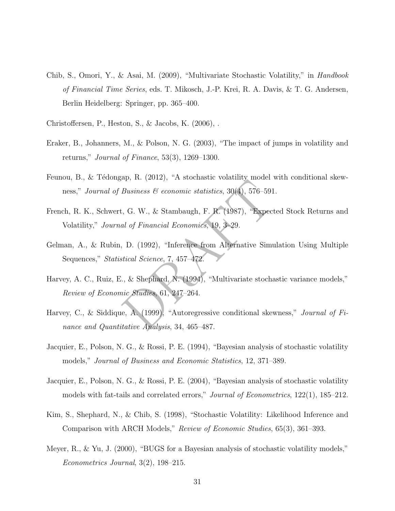- Chib, S., Omori, Y., & Asai, M. (2009), "Multivariate Stochastic Volatility," in Handbook of Financial Time Series, eds. T. Mikosch, J.-P. Krei, R. A. Davis, & T. G. Andersen, Berlin Heidelberg: Springer, pp. 365–400.
- Christoffersen, P., Heston, S., & Jacobs, K. (2006), .
- Eraker, B., Johanners, M., & Polson, N. G. (2003), "The impact of jumps in volatility and returns," Journal of Finance, 53(3), 1269–1300.
- Feunou, B., & Tédongap, R. (2012), "A stochastic volatility model with conditional skewness," Journal of Business  $\mathcal B$  economic statistics, 30(4), 576–591.
- French, R. K., Schwert, G. W., & Stambaugh, F. R. (1987), "Expected Stock Returns and Volatility," Journal of Financial Economics, 19, 3–29.
- Business & economic statistics, 30(4), 576–591.<br>
i, G. W., & Stambaugh, F. R. (1987), "Expected<br>
al of Financial Economics, 19, 3-29.<br>
D. (1992), "Inference from Alternative Simulatistical Science, 7, 457–472.<br>
., & Shepha Gelman, A., & Rubin, D. (1992), "Inference from Alternative Simulation Using Multiple Sequences," Statistical Science, 7, 457–472.
- Harvey, A. C., Ruiz, E., & Shephard, N. (1994), "Multivariate stochastic variance models," Review of Economic Studies, 61, 247–264.
- Harvey, C., & Siddique, A. (1999), "Autoregressive conditional skewness," Journal of Finance and Quantitative Analysis, 34, 465–487.
- Jacquier, E., Polson, N. G., & Rossi, P. E. (1994), "Bayesian analysis of stochastic volatility models," Journal of Business and Economic Statistics, 12, 371–389.
- Jacquier, E., Polson, N. G., & Rossi, P. E. (2004), "Bayesian analysis of stochastic volatility models with fat-tails and correlated errors," Journal of Econometrics, 122(1), 185–212.
- Kim, S., Shephard, N., & Chib, S. (1998), "Stochastic Volatility: Likelihood Inference and Comparison with ARCH Models," Review of Economic Studies, 65(3), 361–393.
- Meyer, R., & Yu, J. (2000), "BUGS for a Bayesian analysis of stochastic volatility models," Econometrics Journal, 3(2), 198–215.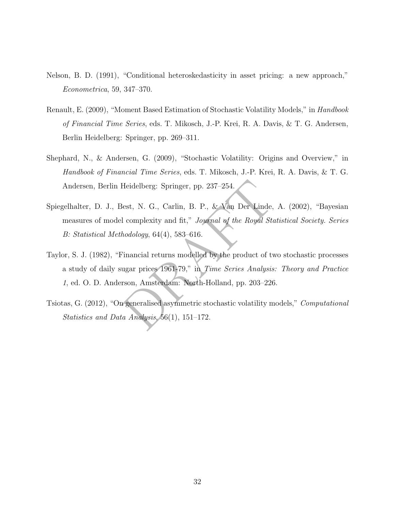- Nelson, B. D. (1991), "Conditional heteroskedasticity in asset pricing: a new approach," Econometrica, 59, 347–370.
- Renault, E. (2009), "Moment Based Estimation of Stochastic Volatility Models," in Handbook of Financial Time Series, eds. T. Mikosch, J.-P. Krei, R. A. Davis, & T. G. Andersen, Berlin Heidelberg: Springer, pp. 269–311.
- Shephard, N., & Andersen, G. (2009), "Stochastic Volatility: Origins and Overview," in Handbook of Financial Time Series, eds. T. Mikosch, J.-P. Krei, R. A. Davis, & T. G. Andersen, Berlin Heidelberg: Springer, pp. 237–254.
- Heidelberg: Springer, pp. 237–254.<br>
Sest, N. G., Carlin, B. P., & Van Der Linde, A.<br>
1 complexity and fit," Journal of the Royal Statist<br>
hodology, 64(4), 583–616.<br>
Financial returns modelled by the product of two s<br>
ugar Spiegelhalter, D. J., Best, N. G., Carlin, B. P., & Van Der Linde, A. (2002), "Bayesian measures of model complexity and fit," Journal of the Royal Statistical Society. Series B: Statistical Methodology, 64(4), 583–616.
- Taylor, S. J. (1982), "Financial returns modelled by the product of two stochastic processes a study of daily sugar prices 1961-79," in Time Series Analysis: Theory and Practice 1, ed. O. D. Anderson, Amsterdam: North-Holland, pp. 203–226.
- Tsiotas, G. (2012), "On generalised asymmetric stochastic volatility models," Computational Statistics and Data Analysis, 56(1), 151–172.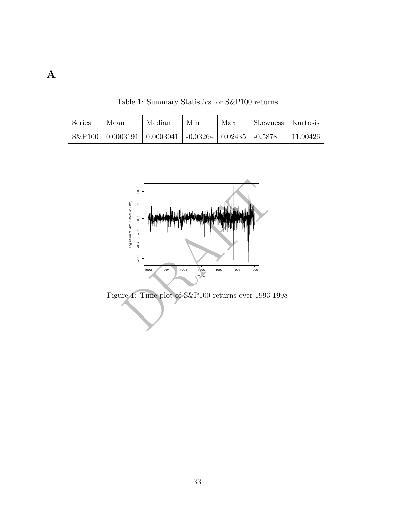Table 1: Summary Statistics for S&P100 returns

| Series | Mean | Median                                                           | Min | Max | Skewness   Kurtosis |          |
|--------|------|------------------------------------------------------------------|-----|-----|---------------------|----------|
|        |      | $S\&P100   0.0003191   0.0003041   -0.03264   0.02435   -0.5878$ |     |     |                     | 11.90426 |



Figure 1: Time plot of S&P100 returns over 1993-1998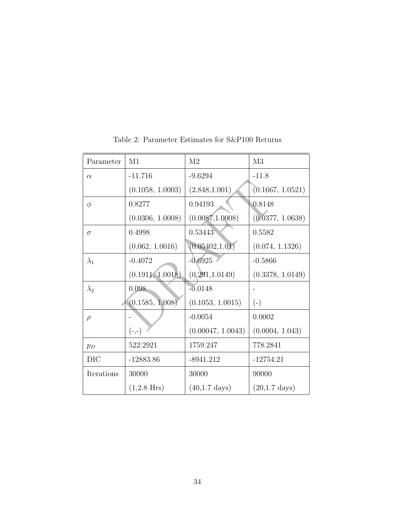| Parameter   | M1                    | M <sub>2</sub>           | M3                      |
|-------------|-----------------------|--------------------------|-------------------------|
| $\alpha$    | $-11.716$             | $-9.6294$                | $-11.8$                 |
|             | (0.1058, 1.0003)      | (2.848, 1.001)           | (0.1667, 1.0521)        |
| $\phi$      | 0.8277                | 0.94193                  | 0.8148                  |
|             | (0.0306, 1.0008)      | (0.0087, 1.0008)         | (0.0377, 1.0638)        |
| $\sigma$    | 0.4998                | 0.53443                  | 0.5582                  |
|             | (0.062, 1.0016)       | (0.05402, 1.01)          | (0.074, 1.1326)         |
| $\lambda_1$ | $-0.4072$             | $-0.6925$                | $-0.5866$               |
|             | (0.1911, 1.0018)      | (0.291, 1.0149)          | (0.3378, 1.0149)        |
| $\lambda_2$ | 0.098                 | $-0.0148$                | $\qquad \qquad -$       |
|             | (0.1585, 1.008)       | (0.1053, 1.0015)         | $(-)$                   |
| $\rho$      |                       | $-0.0054$                | 0.0002                  |
|             | $(-,-)$               | (0.00047, 1.0043)        | (0.0004, 1.043)         |
| $p_D$       | 522.2921              | 1759.247                 | 778.2841                |
| <b>DIC</b>  | $-12883.86$           | $-8941.212$              | $-12754.21$             |
| Iterations  | 30000                 | 30000                    | 90000                   |
|             | $(1,2.8 \text{ Hrs})$ | $(40, 1.7 \text{ days})$ | $(20,1.7 \text{ days})$ |

Table 2: Parameter Estimates for S&P100 Returns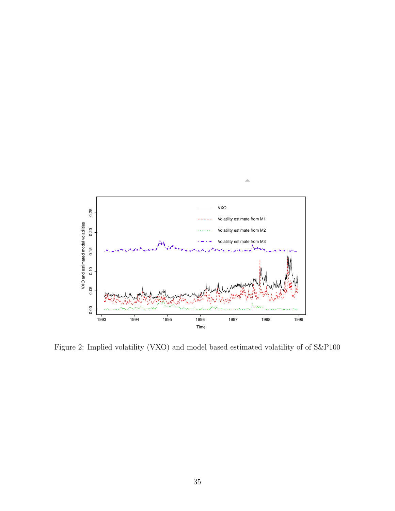

Figure 2: Implied volatility (VXO) and model based estimated volatility of of S&P100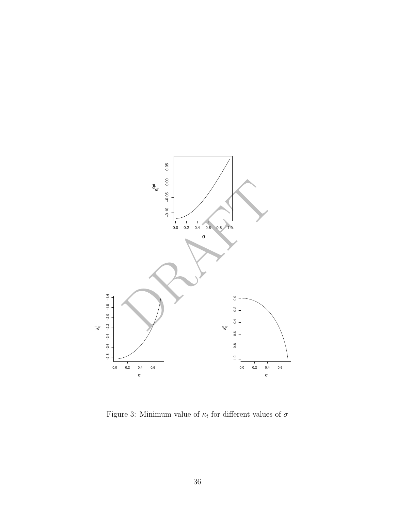

Figure 3: Minimum value of  $\kappa_t$  for different values of  $\sigma$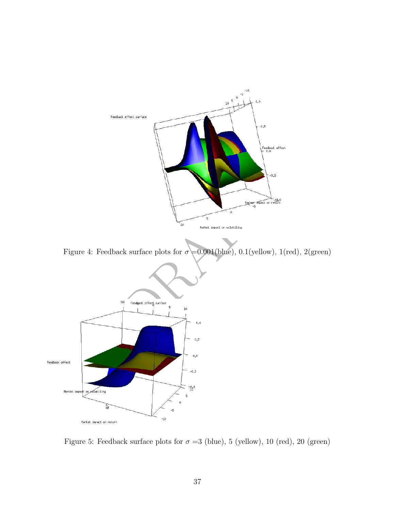

Figure 4: Feedback surface plots for  $\sigma = 0.001$ (blue), 0.1(yellow), 1(red), 2(green)



Figure 5: Feedback surface plots for  $\sigma = 3$  (blue), 5 (yellow), 10 (red), 20 (green)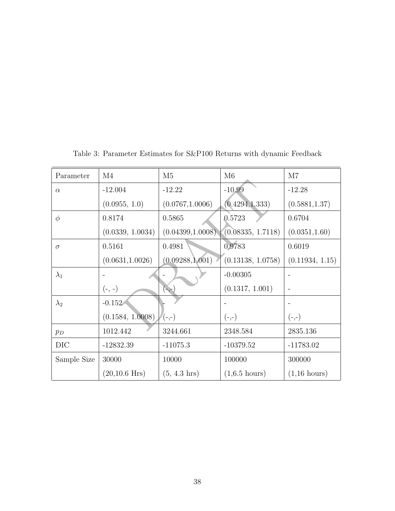| Parameter   | $\overline{\mathrm{M}}4$ | M <sub>5</sub>         | M6                      | M7                     |
|-------------|--------------------------|------------------------|-------------------------|------------------------|
| $\alpha$    | $-12.004$                | $-12.22$               | $-10.99$                | $-12.28$               |
|             | (0.0955, 1.0)            | (0.0767, 1.0006)       | (0.4294, 1.333)         | (0.5881, 1.37)         |
| $\phi$      | 0.8174                   | 0.5865                 | 0.5723                  | 0.6704                 |
|             | (0.0339, 1.0034)         | (0.04399, 1.0008)      | (0.08335, 1.7118)       | (0.0351, 1.60)         |
| $\sigma$    | 0.5161                   | 0.4981                 | 0.9783                  | 0.6019                 |
|             | (0.0631, 1.0026)         | (0.09288, 1.001)       | (0.13138, 1.0758)       | (0.11934, 1.15)        |
| $\lambda_1$ |                          |                        | $-0.00305$              |                        |
|             | $(-, -)$                 | $(-,-)$                | (0.1317, 1.001)         |                        |
| $\lambda_2$ | $-0.152$                 |                        |                         |                        |
|             | (0.1584, 1.0008)         | $(-,-)$                | $(-,-)$                 | $(-,-)$                |
| $p_D$       | 1012.442                 | 3244.661               | 2348.584                | 2835.136               |
| DIC         | $-12832.39$              | $-11075.3$             | $-10379.52$             | $-11783.02$            |
| Sample Size | 30000                    | 10000                  | 100000                  | 300000                 |
|             | $(20, 10.6$ Hrs)         | $(5, 4.3 \text{ hrs})$ | $(1,6.5 \text{ hours})$ | $(1,16 \text{ hours})$ |

Table 3: Parameter Estimates for S&P100 Returns with dynamic Feedback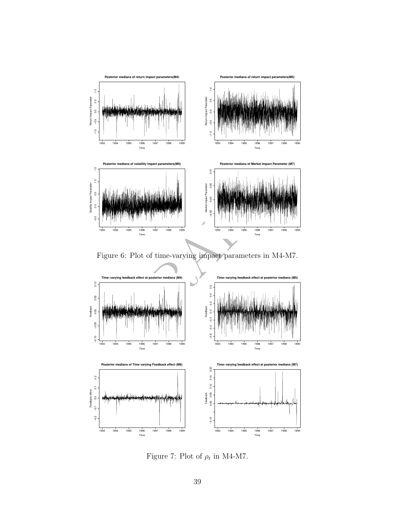

Figure 6: Plot of time-varying impact parameters in M4-M7.



Figure 7: Plot of  $\rho_t$  in M4-M7.